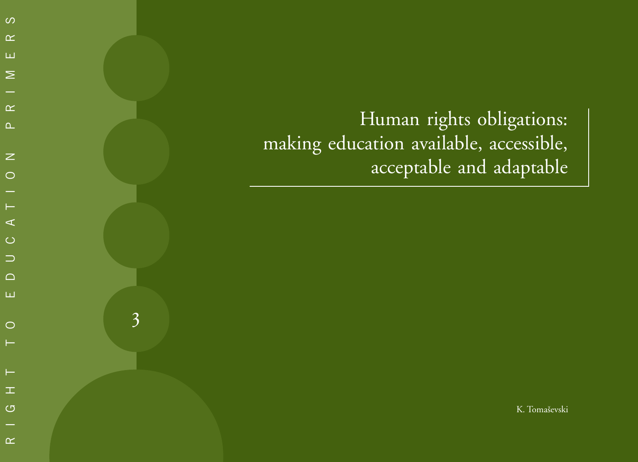Human rights obligations: making education available, accessible, acceptable and adaptable  $R_{\text{max}}$ <br>  $R_{\text{max}}$ <br>  $R_{\text{max}}$ <br>  $R_{\text{max}}$ <br>  $R_{\text{max}}$ <br>  $R_{\text{max}}$ <br>  $R_{\text{max}}$ <br>  $R_{\text{max}}$ <br>  $R_{\text{max}}$ <br>  $R_{\text{max}}$ <br>  $R_{\text{max}}$ <br>  $R_{\text{max}}$ <br>  $R_{\text{max}}$ <br>  $R_{\text{max}}$ <br>  $R_{\text{max}}$ <br>  $R_{\text{max}}$ <br>  $R_{\text{max}}$ <br>  $R_{\text{max}}$ <br>  $R_{\text{max}}$ <br>  $R_{\text{max}}$ <br>

3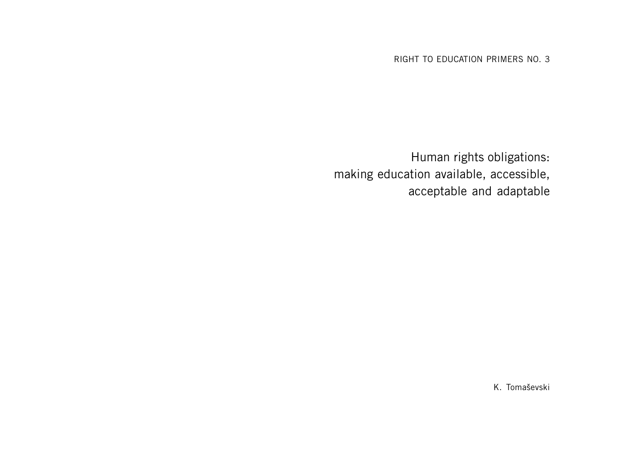RIGHT TO EDUCATION PRIMERS NO. 3

Human rights obligations: making education available, accessible, acceptable and adaptable

K. Tomaševski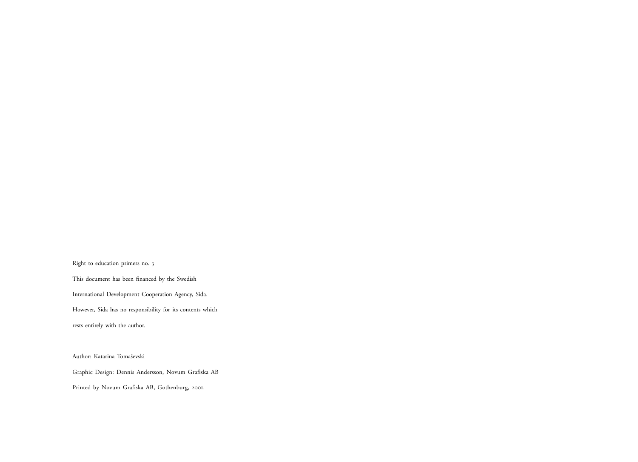Right to education primers no. <sup>3</sup>

This document has been financed by the Swedish International Development Cooperation Agency, Sida. However, Sida has no responsibility for its contents which rests entirely with the author.

Author: Katarina Tomaševski

Graphic Design: Dennis Andersson, Novum Grafiska AB

Printed by Novum Grafiska AB, Gothenburg, 2001.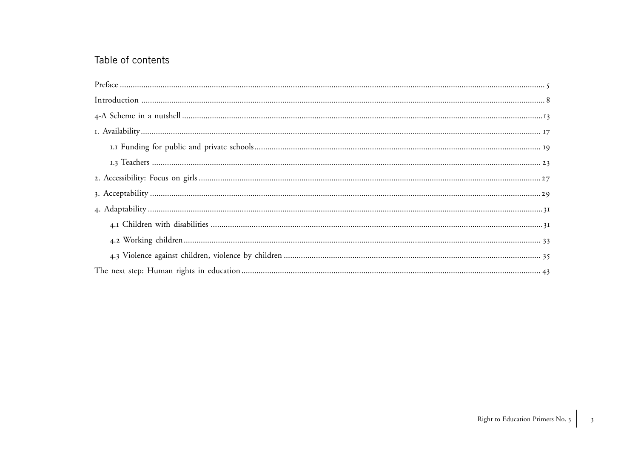# Table of contents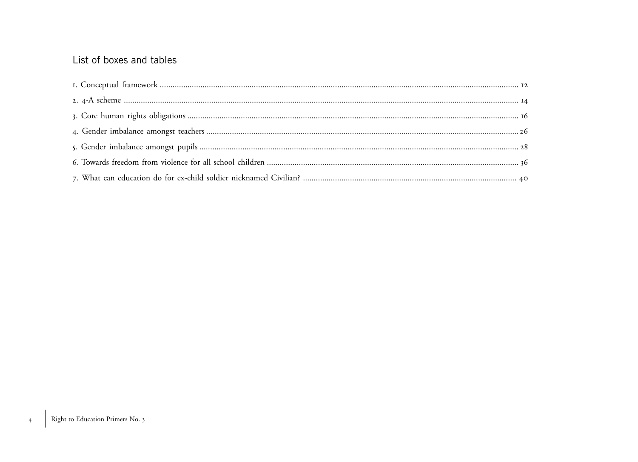# List of boxes and tables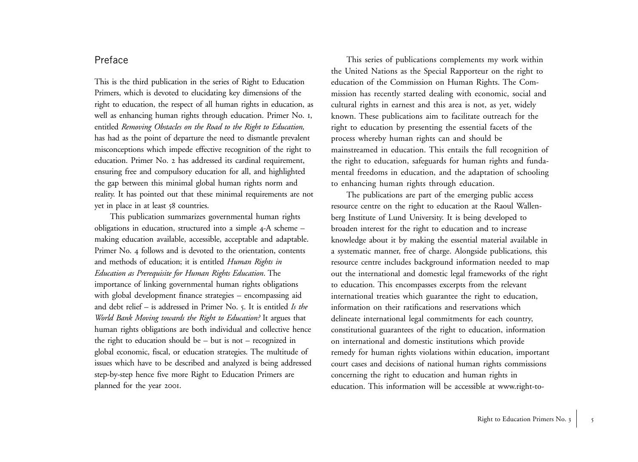## Preface

This is the third publication in the series of Right to Education Primers, which is devoted to elucidating key dimensions of the right to education, the respect of all human rights in education, as well as enhancing human rights through education. Primer No. <sup>1</sup>, entitled *Removing Obstacles on the Road to the Right to Education,* has had as the point of departure the need to dismantle prevalent misconceptions which impede effective recognition of the right to education. Primer No. 2 has addressed its cardinal requirement, ensuring free and compulsory education for all, and highlighted the gap between this minimal global human rights norm and reality. It has pointed out that these minimal requirements are not yet in place in at least 58 countries.

This publication summarizes governmental human rights obligations in education, structured into a simple 4-A scheme – making education available, accessible, acceptable and adaptable. Primer No. 4 follows and is devoted to the orientation, contents and methods of education; it is entitled *Human Rights in Education as Prerequisite for Human Rights Education*. The importance of linking governmental human rights obligations with global development finance strategies – encompassing aid and debt relief – is addressed in Primer No. 5. It is entitled *Is the World Bank Moving towards the Right to Education?* It argues that human rights obligations are both individual and collective hence the right to education should be – but is not – recognized in global economic, fiscal, or education strategies. The multitude of issues which have to be described and analyzed is being addressed step-by-step hence five more Right to Education Primers are planned for the year <sup>2001</sup>.

This series of publications complements my work within the United Nations as the Special Rapporteur on the right to education of the Commission on Human Rights. The Commission has recently started dealing with economic, social and cultural rights in earnest and this area is not, as yet, widely known. These publications aim to facilitate outreach for the right to education by presenting the essential facets of the process whereby human rights can and should be mainstreamed in education. This entails the full recognition of the right to education, safeguards for human rights and fundamental freedoms in education, and the adaptation of schooling to enhancing human rights through education.

The publications are part of the emerging public access resource centre on the right to education at the Raoul Wallenberg Institute of Lund University. It is being developed to broaden interest for the right to education and to increase knowledge about it by making the essential material available in a systematic manner, free of charge. Alongside publications, this resource centre includes background information needed to map out the international and domestic legal frameworks of the right to education. This encompasses excerpts from the relevant international treaties which guarantee the right to education, information on their ratifications and reservations which delineate international legal commitments for each country, constitutional guarantees of the right to education, information on international and domestic institutions which provide remedy for human rights violations within education, important court cases and decisions of national human rights commissions concerning the right to education and human rights in education. This information will be accessible at www.right-to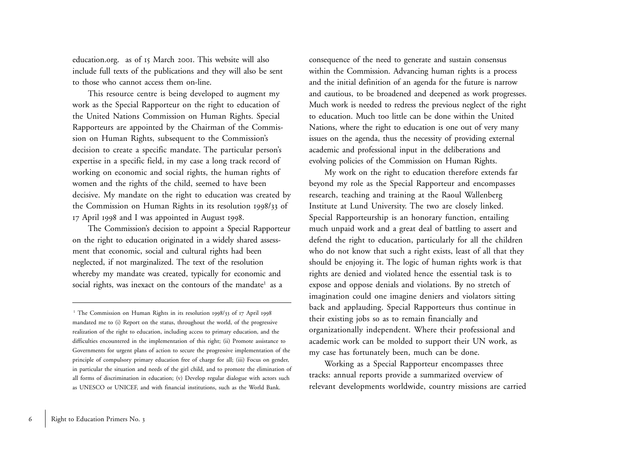education.org. as of 15 March 2001. This website will also include full texts of the publications and they will also be sent to those who cannot access them on-line.

This resource centre is being developed to augment my work as the Special Rapporteur on the right to education of the United Nations Commission on Human Rights. Special Rapporteurs are appointed by the Chairman of the Commission on Human Rights, subsequent to the Commission's decision to create a specific mandate. The particular person's expertise in a specific field, in my case a long track record of working on economic and social rights, the human rights of women and the rights of the child, seemed to have been decisive. My mandate on the right to education was created by the Commission on Human Rights in its resolution 1998/33 of <sup>17</sup> April 1998 and I was appointed in August 1998.

The Commission's decision to appoint a Special Rapporteur on the right to education originated in a widely shared assessment that economic, social and cultural rights had been neglected, if not marginalized. The text of the resolution whereby my mandate was created, typically for economic and social rights, was inexact on the contours of the mandate<sup>1</sup> as a

consequence of the need to generate and sustain consensus within the Commission. Advancing human rights is a process and the initial definition of an agenda for the future is narrow and cautious, to be broadened and deepened as work progresses. Much work is needed to redress the previous neglect of the right to education. Much too little can be done within the United Nations, where the right to education is one out of very many issues on the agenda, thus the necessity of providing external academic and professional input in the deliberations and evolving policies of the Commission on Human Rights.

My work on the right to education therefore extends far beyond my role as the Special Rapporteur and encompasses research, teaching and training at the Raoul Wallenberg Institute at Lund University. The two are closely linked. Special Rapporteurship is an honorary function, entailing much unpaid work and a great deal of battling to assert and defend the right to education, particularly for all the children who do not know that such a right exists, least of all that they should be enjoying it. The logic of human rights work is that rights are denied and violated hence the essential task is to expose and oppose denials and violations. By no stretch of imagination could one imagine deniers and violators sitting back and applauding. Special Rapporteurs thus continue in their existing jobs so as to remain financially and organizationally independent. Where their professional and academic work can be molded to support their UN work, as my case has fortunately been, much can be done.

Working as a Special Rapporteur encompasses three tracks: annual reports provide a summarized overview of relevant developments worldwide, country missions are carried

<sup>&</sup>lt;sup>1</sup> The Commission on Human Rights in its resolution 1998/33 of 17 April 1998 mandated me to (i) Report on the status, throughout the world, of the progressive realization of the right to education, including access to primary education, and the difficulties encountered in the implementation of this right; (ii) Promote assistance to Governments for urgent plans of action to secure the progressive implementation of the principle of compulsory primary education free of charge for all; (iii) Focus on gender, in particular the situation and needs of the girl child, and to promote the elimination of all forms of discrimination in education; (v) Develop regular dialogue with actors such as UNESCO or UNICEF, and with financial institutions, such as the World Bank.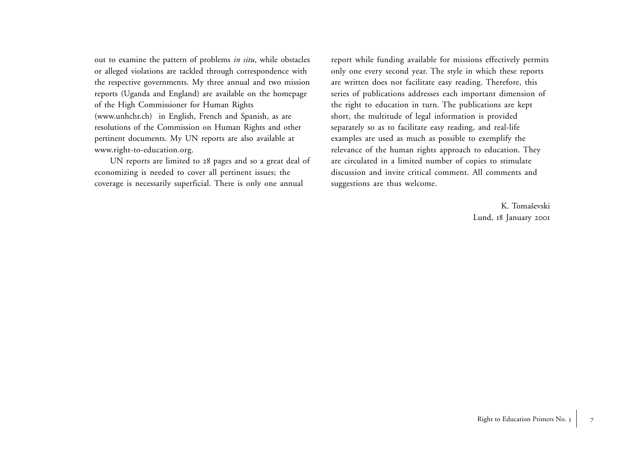out to examine the pattern of problems *in situ*, while obstacles or alleged violations are tackled through correspondence with the respective governments. My three annual and two mission reports (Uganda and England) are available on the homepage of the High Commissioner for Human Rights (www.unhchr.ch) in English, French and Spanish, as are resolutions of the Commission on Human Rights and other pertinent documents. My UN reports are also available at www.right-to-education.org.

UN reports are limited to <sup>28</sup> pages and so a great deal of economizing is needed to cover all pertinent issues; the coverage is necessarily superficial. There is only one annual

report while funding available for missions effectively permits only one every second year. The style in which these reports are written does not facilitate easy reading. Therefore, this series of publications addresses each important dimension of the right to education in turn. The publications are kept short, the multitude of legal information is provided separately so as to facilitate easy reading, and real-life examples are used as much as possible to exemplify the relevance of the human rights approach to education. They are circulated in a limited number of copies to stimulate discussion and invite critical comment. All comments and suggestions are thus welcome.

> K. Tomaševski Lund, 18 January 2001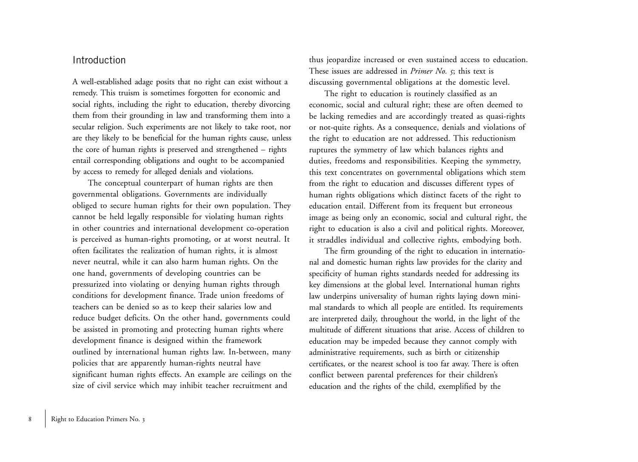### Introduction

A well-established adage posits that no right can exist without a remedy. This truism is sometimes forgotten for economic and social rights, including the right to education, thereby divorcing them from their grounding in law and transforming them into a secular religion. Such experiments are not likely to take root, nor are they likely to be beneficial for the human rights cause, unless the core of human rights is preserved and strengthened – rights entail corresponding obligations and ought to be accompanied by access to remedy for alleged denials and violations.

The conceptual counterpart of human rights are then governmental obligations. Governments are individually obliged to secure human rights for their own population. They cannot be held legally responsible for violating human rights in other countries and international development co-operation is perceived as human-rights promoting, or at worst neutral. It often facilitates the realization of human rights, it is almost never neutral, while it can also harm human rights. On the one hand, governments of developing countries can be pressurized into violating or denying human rights through conditions for development finance. Trade union freedoms of teachers can be denied so as to keep their salaries low and reduce budget deficits. On the other hand, governments could be assisted in promoting and protecting human rights where development finance is designed within the framework outlined by international human rights law. In-between, many policies that are apparently human-rights neutral have significant human rights effects. An example are ceilings on the size of civil service which may inhibit teacher recruitment and

thus jeopardize increased or even sustained access to education. These issues are addressed in *Primer No. 5*; this text is discussing governmental obligations at the domestic level.

The right to education is routinely classified as an economic, social and cultural right; these are often deemed to be lacking remedies and are accordingly treated as quasi-rights or not-quite rights. As a consequence, denials and violations of the right to education are not addressed. This reductionism ruptures the symmetry of law which balances rights and duties, freedoms and responsibilities. Keeping the symmetry, this text concentrates on governmental obligations which stem from the right to education and discusses different types of human rights obligations which distinct facets of the right to education entail. Different from its frequent but erroneous image as being only an economic, social and cultural right, the right to education is also a civil and political rights. Moreover, it straddles individual and collective rights, embodying both.

The firm grounding of the right to education in international and domestic human rights law provides for the clarity and specificity of human rights standards needed for addressing its key dimensions at the global level. International human rights law underpins universality of human rights laying down minimal standards to which all people are entitled. Its requirements are interpreted daily, throughout the world, in the light of the multitude of different situations that arise. Access of children to education may be impeded because they cannot comply with administrative requirements, such as birth or citizenship certificates, or the nearest school is too far away. There is often conflict between parental preferences for their children's education and the rights of the child, exemplified by the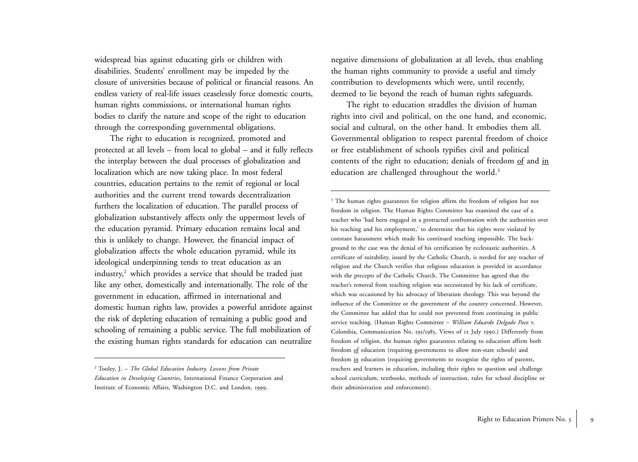widespread bias against educating girls or children with disabilities. Students' enrollment may be impeded by the closure of universities because of political or financial reasons. An endless variety of real-life issues ceaselessly force domestic courts, human rights commissions, or international human rights bodies to clarify the nature and scope of the right to education through the corresponding governmental obligations.

The right to education is recognized, promoted and protected at all levels – from local to global – and it fully reflects the interplay between the dual processes of globalization and localization which are now taking place. In most federal countries, education pertains to the remit of regional or local authorities and the current trend towards decentralization furthers the localization of education. The parallel process of <sup>g</sup>lobalization substantively affects only the uppermost levels of the education pyramid. Primary education remains local and this is unlikely to change. However, the financial impact of <sup>g</sup>lobalization affects the whole education pyramid, while its ideological underpinning tends to treat education as an industry,<sup>2</sup> which provides a service that should be traded just like any other, domestically and internationally. The role of the government in education, affirmed in international and domestic human rights law, provides a powerful antidote against the risk of depleting education of remaining a public good and schooling of remaining a public service. The full mobilization of the existing human rights standards for education can neutralize

negative dimensions of globalization at all levels, thus enabling the human rights community to provide a useful and timely contribution to developments which were, until recently, deemed to lie beyond the reach of human rights safeguards.

The right to education straddles the division of human rights into civil and political, on the one hand, and economic, social and cultural, on the other hand. It embodies them all. Governmental obligation to respect parental freedom of choice or free establishment of schools typifies civil and political contents of the right to education; denials of freedom of and in education are challenged throughout the world.<sup>3</sup>

<sup>3</sup> The human rights guarantees for religion affirm the freedom of religion but not freedom in religion. The Human Rights Committee has examined the case of a teacher who 'had been engaged in a protracted confrontation with the authorities over his teaching and his employment,' to determine that his rights were violated by constant harassment which made his continued teaching impossible. The background to the case was the denial of his certification by ecclesiastic authorities. A certificate of suitability, issued by the Catholic Church, is needed for any teacher of religion and the Church verifies that religious education is provided in accordance with the precepts of the Catholic Church. The Committee has agreed that the teacher's removal from teaching religion was necessitated by his lack of certificate, which was occasioned by his advocacy of liberation theology. This was beyond the influence of the Committee or the government of the country concerned. However, the Committee has added that he could not prevented from continuing in public service teaching. (Human Rights Committee – *William Eduardo Delgado Paez* v. Colombia, Communication No. 195/1985, Views of 12 July 1990.) Differently from freedom of religion, the human rights guarantees relating to education affirm both freedom of education (requiring governments to allow non-state schools) and freedom in education (requiring governments to recognize the rights of parents, teachers and learners in education, including their rights to question and challenge school curriculum, textbooks, methods of instruction, rules for school discipline or their administration and enforcement).

<sup>2</sup> Tooley, J. – *The Global Education Industry. Lessons from Private Education in Developing Countries*, International Finance Corporation and Institute of Economic Affairs, Washington D.C. and London, <sup>1999</sup>.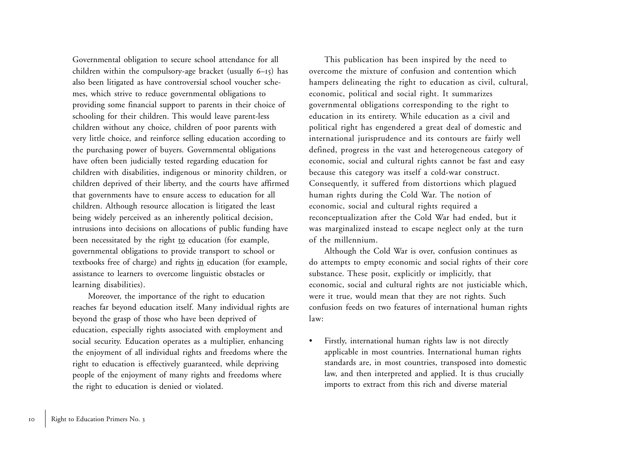Governmental obligation to secure school attendance for all children within the compulsory-age bracket (usually 6 –15) has also been litigated as have controversial school voucher schemes, which strive to reduce governmental obligations to providing some financial support to parents in their choice of schooling for their children. This would leave parent-less children without any choice, children of poor parents with very little choice, and reinforce selling education according to the purchasing power of buyers. Governmental obligations have often been judicially tested regarding education for children with disabilities, indigenous or minority children, or children deprived of their liberty, and the courts have affirmed that governments have to ensure access to education for all children. Although resource allocation is litigated the least being widely perceived as an inherently political decision, intrusions into decisions on allocations of public funding have been necessitated by the right to education (for example, governmental obligations to provide transport to school or textbooks free of charge) and rights in education (for example, assistance to learners to overcome linguistic obstacles or learning disabilities).

Moreover, the importance of the right to education reaches far beyond education itself. Many individual rights are beyond the grasp of those who have been deprived of education, especially rights associated with employment and social security. Education operates as a multiplier, enhancing the enjoyment of all individual rights and freedoms where the right to education is effectively guaranteed, while depriving people of the enjoyment of many rights and freedoms where the right to education is denied or violated.

This publication has been inspired by the need to overcome the mixture of confusion and contention which hampers delineating the right to education as civil, cultural, economic, political and social right. It summarizes governmental obligations corresponding to the right to education in its entirety. While education as a civil and political right has engendered a great deal of domestic and international jurisprudence and its contours are fairly well defined, progress in the vast and heterogeneous category of economic, social and cultural rights cannot be fast and easy because this category was itself a cold-war construct. Consequently, it suffered from distortions which plagued human rights during the Cold War. The notion of economic, social and cultural rights required a reconceptualization after the Cold War had ended, but it was marginalized instead to escape neglect only at the turn of the millennium.

Although the Cold War is over, confusion continues as do attempts to empty economic and social rights of their core substance. These posit, explicitly or implicitly, that economic, social and cultural rights are not justiciable which, were it true, would mean that they are not rights. Such confusion feeds on two features of international human rights law:

• Firstly, international human rights law is not directly applicable in most countries. International human rights standards are, in most countries, transposed into domestic law, and then interpreted and applied. It is thus crucially imports to extract from this rich and diverse material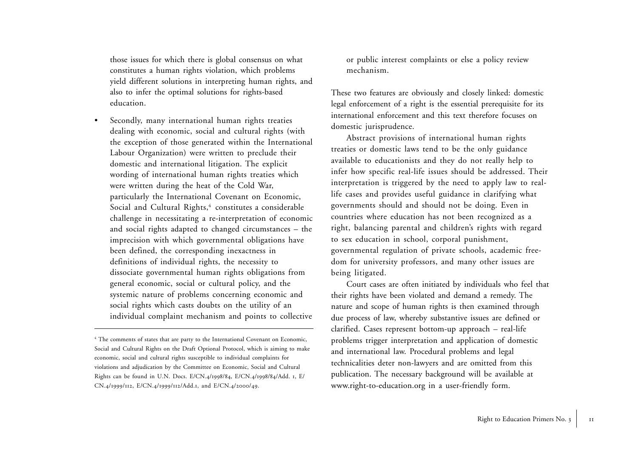those issues for which there is global consensus on what constitutes a human rights violation, which problems <sup>y</sup>ield different solutions in interpreting human rights, and also to infer the optimal solutions for rights-based education.

• Secondly, many international human rights treaties dealing with economic, social and cultural rights (with the exception of those generated within the International Labour Organization) were written to preclude their domestic and international litigation. The explicit wording of international human rights treaties which were written during the heat of the Cold War, particularly the International Covenant on Economic, Social and Cultural Rights,<sup>4</sup> constitutes a considerable challenge in necessitating a re-interpretation of economic and social rights adapted to changed circumstances – the imprecision with which governmental obligations have been defined, the corresponding inexactness in definitions of individual rights, the necessity to dissociate governmental human rights obligations from general economic, social or cultural policy, and the systemic nature of problems concerning economic and social rights which casts doubts on the utility of an individual complaint mechanism and points to collective

or public interest complaints or else a policy review mechanism.

These two features are obviously and closely linked: domestic legal enforcement of a right is the essential prerequisite for its international enforcement and this text therefore focuses on domestic jurisprudence.

Abstract provisions of international human rights treaties or domestic laws tend to be the only guidance available to educationists and they do not really help to infer how specific real-life issues should be addressed. Their interpretation is triggered by the need to apply law to reallife cases and provides useful guidance in clarifying what governments should and should not be doing. Even in countries where education has not been recognized as a right, balancing parental and children's rights with regard to sex education in school, corporal punishment, governmental regulation of private schools, academic freedom for university professors, and many other issues are being litigated.

Court cases are often initiated by individuals who feel that their rights have been violated and demand a remedy. The nature and scope of human rights is then examined through due process of law, whereby substantive issues are defined or clarified. Cases represent bottom-up approach – real-life problems trigger interpretation and application of domestic and international law. Procedural problems and legal technicalities deter non-lawyers and are omitted from this publication. The necessary background will be available at www.right-to-education.org in a user-friendly form.

<sup>&</sup>lt;sup>4</sup> The comments of states that are party to the International Covenant on Economic, Social and Cultural Rights on the Draft Optional Protocol, which is aiming to make economic, social and cultural rights susceptible to individual complaints for violations and adjudication by the Committee on Economic, Social and Cultural Rights can be found in U.N. Docs. E/CN.4/1998/84, E/CN.4/1998/84/Add. <sup>1</sup>, E/ CN.4/1999/<sup>112</sup>, E/CN.4/1999/112/Add.<sup>1</sup>, and E/CN.4/2000/49.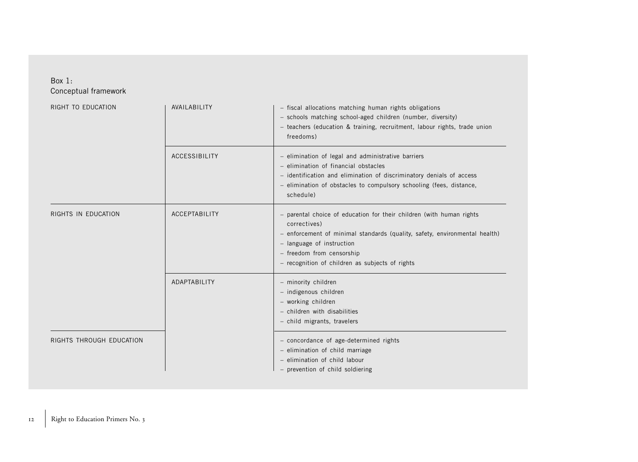### Box 1: Conceptual framework

| RIGHT TO EDUCATION       | AVAILABILITY  | - fiscal allocations matching human rights obligations<br>- schools matching school-aged children (number, diversity)<br>- teachers (education & training, recruitment, labour rights, trade union<br>freedoms)                                                                 |
|--------------------------|---------------|---------------------------------------------------------------------------------------------------------------------------------------------------------------------------------------------------------------------------------------------------------------------------------|
|                          | ACCESSIBILITY | - elimination of legal and administrative barriers<br>- elimination of financial obstacles<br>- identification and elimination of discriminatory denials of access<br>- elimination of obstacles to compulsory schooling (fees, distance,<br>schedule)                          |
| RIGHTS IN EDUCATION      | ACCEPTABILITY | - parental choice of education for their children (with human rights<br>correctives)<br>- enforcement of minimal standards (quality, safety, environmental health)<br>- language of instruction<br>- freedom from censorship<br>- recognition of children as subjects of rights |
|                          | ADAPTABILITY  | - minority children<br>- indigenous children<br>- working children<br>- children with disabilities<br>- child migrants, travelers                                                                                                                                               |
| RIGHTS THROUGH EDUCATION |               | - concordance of age-determined rights<br>- elimination of child marriage<br>- elimination of child labour<br>- prevention of child soldiering                                                                                                                                  |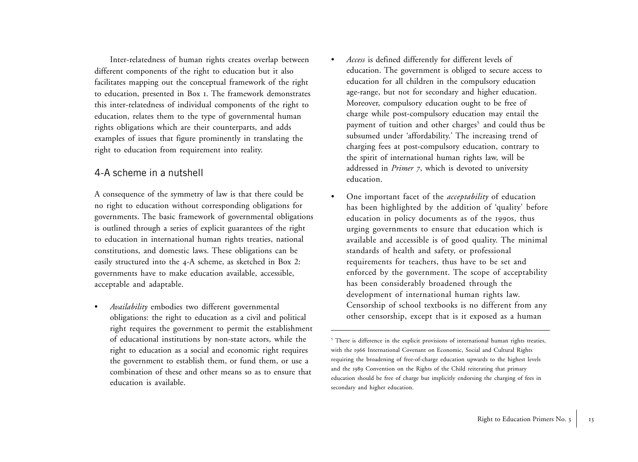Inter-relatedness of human rights creates overlap between different components of the right to education but it also facilitates mapping out the conceptual framework of the right to education, presented in Box 1. The framework demonstrates this inter-relatedness of individual components of the right to education, relates them to the type of governmental human rights obligations which are their counterparts, and adds examples of issues that figure prominently in translating the right to education from requirement into reality.

## 4-A scheme in a nutshell

A consequence of the symmetry of law is that there could be no right to education without corresponding obligations for governments. The basic framework of governmental obligations is outlined through a series of explicit guarantees of the right to education in international human rights treaties, national constitutions, and domestic laws. These obligations can be easily structured into the <sup>4</sup>-A scheme, as sketched in Box 2: governments have to make education available, accessible, acceptable and adaptable.

• *Availability* embodies two different governmental obligations: the right to education as a civil and political right requires the government to permit the establishment of educational institutions by non-state actors, while the right to education as a social and economic right requires the government to establish them, or fund them, or use a combination of these and other means so as to ensure that education is available.

 *Access* is defined differently for different levels of education. The government is obliged to secure access to education for all children in the compulsory education age-range, but not for secondary and higher education. Moreover, compulsory education ought to be free of charge while post-compulsory education may entail the payment of tuition and other charges<sup>5</sup> and could thus be subsumed under 'affordability.' The increasing trend of charging fees at post-compulsory education, contrary to the spirit of international human rights law, will be addressed in *Primer <sup>7</sup>*, which is devoted to university education.

•

• One important facet of the *acceptability* of education has been highlighted by the addition of 'quality' before education in policy documents as of the 1990s, thus urging governments to ensure that education which is available and accessible is of good quality. The minimal standards of health and safety, or professional requirements for teachers, thus have to be set and enforced by the government. The scope of acceptability has been considerably broadened through the development of international human rights law. Censorship of school textbooks is no different from any other censorship, except that is it exposed as a human

<sup>&</sup>lt;sup>5</sup> There is difference in the explicit provisions of international human rights treaties, with the 1966 International Covenant on Economic, Social and Cultural Rights requiring the broadening of free-of-charge education upwards to the highest levels and the 1989 Convention on the Rights of the Child reiterating that primary education should be free of charge but implicitly endorsing the charging of fees in secondary and higher education.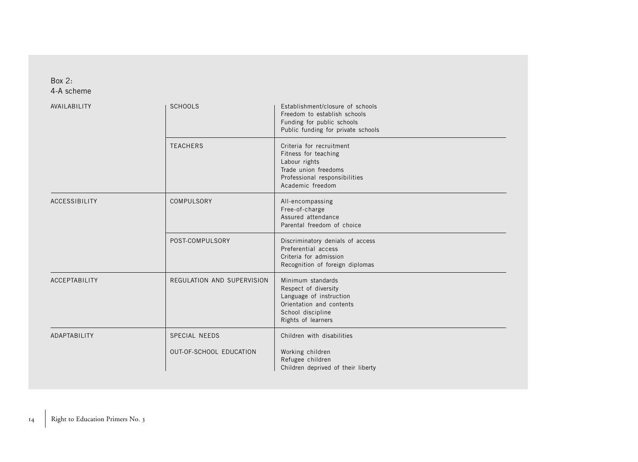### Box 2: 4-A scheme

| AVAILABILITY         | <b>SCHOOLS</b>                                  | Establishment/closure of schools<br>Freedom to establish schools<br>Funding for public schools<br>Public funding for private schools           |
|----------------------|-------------------------------------------------|------------------------------------------------------------------------------------------------------------------------------------------------|
|                      | <b>TEACHERS</b>                                 | Criteria for recruitment<br>Fitness for teaching<br>Labour rights<br>Trade union freedoms<br>Professional responsibilities<br>Academic freedom |
| ACCESSIBILITY        | COMPULSORY                                      | All-encompassing<br>Free-of-charge<br>Assured attendance<br>Parental freedom of choice                                                         |
|                      | POST-COMPULSORY                                 | Discriminatory denials of access<br>Preferential access<br>Criteria for admission<br>Recognition of foreign diplomas                           |
| <b>ACCEPTABILITY</b> | REGULATION AND SUPERVISION                      | Minimum standards<br>Respect of diversity<br>Language of instruction<br>Orientation and contents<br>School discipline<br>Rights of learners    |
| ADAPTABILITY         | <b>SPECIAL NEEDS</b><br>OUT-OF-SCHOOL EDUCATION | Children with disabilities<br>Working children<br>Refugee children<br>Children deprived of their liberty                                       |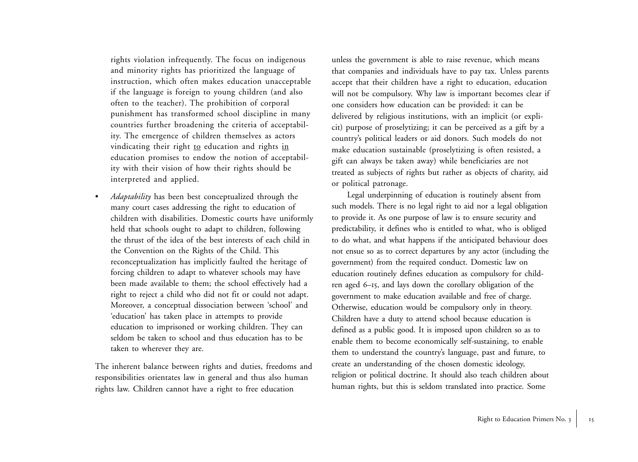rights violation infrequently. The focus on indigenous and minority rights has prioritized the language of instruction, which often makes education unacceptable if the language is foreign to young children (and also often to the teacher). The prohibition of corporal punishment has transformed school discipline in many countries further broadening the criteria of acceptability. The emergence of children themselves as actors vindicating their right to education and rights in education promises to endow the notion of acceptability with their vision of how their rights should be interpreted and applied.

• *Adaptability* has been best conceptualized through the many court cases addressing the right to education of children with disabilities. Domestic courts have uniformly held that schools ought to adapt to children, following the thrust of the idea of the best interests of each child in the Convention on the Rights of the Child. This reconceptualization has implicitly faulted the heritage of forcing children to adapt to whatever schools may have been made available to them; the school effectively had a right to reject a child who did not fit or could not adapt. Moreover, a conceptual dissociation between 'school' and 'education' has taken place in attempts to provide education to imprisoned or working children. They can seldom be taken to school and thus education has to be taken to wherever they are.

The inherent balance between rights and duties, freedoms and responsibilities orientates law in general and thus also human rights law. Children cannot have a right to free education

unless the government is able to raise revenue, which means that companies and individuals have to pay tax. Unless parents accept that their children have a right to education, education will not be compulsory. Why law is important becomes clear if one considers how education can be provided: it can be delivered by religious institutions, with an implicit (or explicit) purpose of proselytizing; it can be perceived as a gift by a country's political leaders or aid donors. Such models do not make education sustainable (proselytizing is often resisted, a <sup>g</sup>ift can always be taken away) while beneficiaries are not treated as subjects of rights but rather as objects of charity, aid or political patronage.

Legal underpinning of education is routinely absent from such models. There is no legal right to aid nor a legal obligation to provide it. As one purpose of law is to ensure security and predictability, it defines who is entitled to what, who is obliged to do what, and what happens if the anticipated behaviour does not ensue so as to correct departures by any actor (including the government) from the required conduct. Domestic law on education routinely defines education as compulsory for children aged <sup>6</sup>–15, and lays down the corollary obligation of the government to make education available and free of charge. Otherwise, education would be compulsory only in theory. Children have a duty to attend school because education is defined as a public good. It is imposed upon children so as to enable them to become economically self-sustaining, to enable them to understand the country's language, past and future, to create an understanding of the chosen domestic ideology, religion or political doctrine. It should also teach children about human rights, but this is seldom translated into practice. Some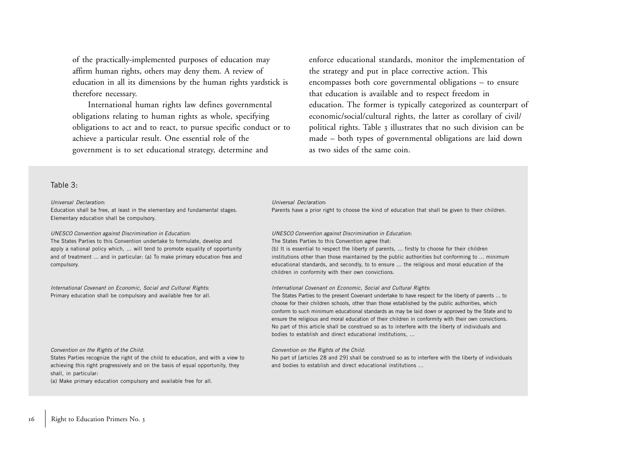of the practically-implemented purposes of education may affirm human rights, others may deny them. A review of education in all its dimensions by the human rights yardstick is therefore necessary.

International human rights law defines governmental obligations relating to human rights as whole, specifying obligations to act and to react, to pursue specific conduct or to achieve a particular result. One essential role of the government is to set educational strategy, determine and

enforce educational standards, monitor the implementation of the strategy and put in place corrective action. This encompasses both core governmental obligations – to ensure that education is available and to respect freedom in education. The former is typically categorized as counterpart of economic/social/cultural rights, the latter as corollary of civil/ political rights. Table 3 illustrates that no such division can be made – both types of governmental obligations are laid down as two sides of the same coin.

#### Table 3:

#### Universal Declaration:

Education shall be free, at least in the elementary and fundamental stages. Elementary education shall be compulsory.

UNESCO Convention against Discrimination in Education: The States Parties to this Convention undertake to formulate, develop and apply a national policy which, ... will tend to promote equality of opportunity and of treatment ... and in particular: (a) To make primary education free and compulsory.

International Covenant on Economic, Social and Cultural Rights: Primary education shall be compulsory and available free for all.

#### Convention on the Rights of the Child:

States Parties recognize the right of the child to education, and with a view to achieving this right progressively and on the basis of equal opportunity, they shall, in particular:

(a) Make primary education compulsory and available free for all.

#### Universal Declaration:

Parents have a prior right to choose the kind of education that shall be given to their children.

UNESCO Convention against Discrimination in Education: The States Parties to this Convention agree that:

(b) It is essential to respect the liberty of parents, ... firstly to choose for their children institutions other than those maintained by the public authorities but conforming to ... minimum educational standards, and secondly, to to ensure ... the religious and moral education of the children in conformity with their own convictions.

International Covenant on Economic, Social and Cultural Rights:

The States Parties to the present Covenant undertake to have respect for the liberty of parents ... to choose for their children schools, other than those established by the public authorities, which conform to such minimum educational standards as may be laid down or approved by the State and to ensure the religious and moral education of their children in conformity with their own convictions. No part of this article shall be construed so as to interfere with the liberty of individuals and bodies to establish and direct educational institutions, ...

#### Convention on the Rights of the Child:

No part of [articles 28 and 29] shall be construed so as to interfere with the liberty of individuals and bodies to establish and direct educational institutions ...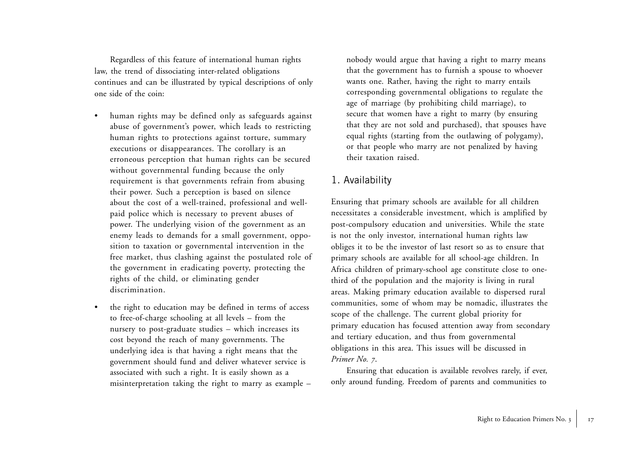Regardless of this feature of international human rights law, the trend of dissociating inter-related obligations continues and can be illustrated by typical descriptions of only one side of the coin:

- • human rights may be defined only as safeguards against abuse of government's power, which leads to restricting human rights to protections against torture, summary executions or disappearances. The corollary is an erroneous perception that human rights can be secured without governmental funding because the only requirement is that governments refrain from abusing their power. Such a perception is based on silence about the cost of a well-trained, professional and wellpaid police which is necessary to prevent abuses of power. The underlying vision of the government as an enemy leads to demands for a small government, opposition to taxation or governmental intervention in the free market, thus clashing against the postulated role of the government in eradicating poverty, protecting the rights of the child, or eliminating gender discrimination.
- • the right to education may be defined in terms of access to free-of-charge schooling at all levels – from the nursery to post-graduate studies – which increases its cost beyond the reach of many governments. The underlying idea is that having a right means that the government should fund and deliver whatever service is associated with such a right. It is easily shown as a misinterpretation taking the right to marry as example –

nobody would argue that having a right to marry means that the government has to furnish a spouse to whoever wants one. Rather, having the right to marry entails corresponding governmental obligations to regulate the age of marriage (by prohibiting child marriage), to secure that women have a right to marry (by ensuring that they are not sold and purchased), that spouses have equal rights (starting from the outlawing of polygamy), or that people who marry are not penalized by having their taxation raised.

## 1. Availability

Ensuring that primary schools are available for all children necessitates a considerable investment, which is amplified by post-compulsory education and universities. While the state is not the only investor, international human rights law obliges it to be the investor of last resort so as to ensure that primary schools are available for all school-age children. In Africa children of primary-school age constitute close to onethird of the population and the majority is living in rural areas. Making primary education available to dispersed rural communities, some of whom may be nomadic, illustrates the scope of the challenge. The current global priority for primary education has focused attention away from secondary and tertiary education, and thus from governmental obligations in this area. This issues will be discussed in *Primer No. 7*.

Ensuring that education is available revolves rarely, if ever, only around funding. Freedom of parents and communities to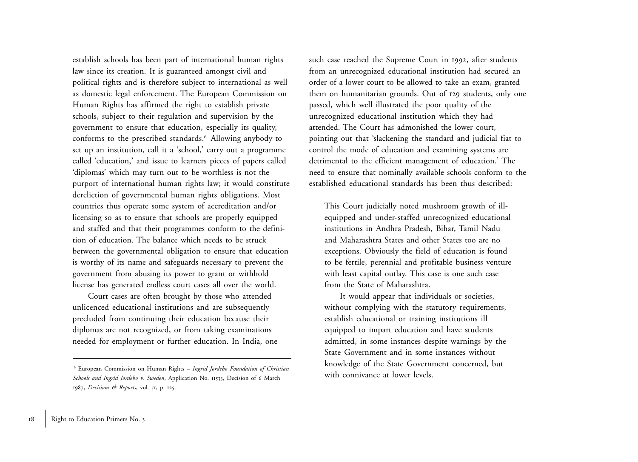establish schools has been part of international human rights law since its creation. It is guaranteed amongst civil and political rights and is therefore subject to international as well as domestic legal enforcement. The European Commission on Human Rights has affirmed the right to establish private schools, subject to their regulation and supervision by the government to ensure that education, especially its quality, conforms to the prescribed standards.6 Allowing anybody to set up an institution, call it a 'school,' carry out a programme called 'education,' and issue to learners pieces of papers called 'diplomas' which may turn out to be worthless is not the purport of international human rights law; it would constitute dereliction of governmental human rights obligations. Most countries thus operate some system of accreditation and/or licensing so as to ensure that schools are properly equipped and staffed and that their programmes conform to the definition of education. The balance which needs to be struck between the governmental obligation to ensure that education is worthy of its name and safeguards necessary to prevent the government from abusing its power to grant or withhold license has generated endless court cases all over the world.

Court cases are often brought by those who attended unlicenced educational institutions and are subsequently precluded from continuing their education because their diplomas are not recognized, or from taking examinations needed for employment or further education. In India, one such case reached the Supreme Court in <sup>1992</sup>, after students from an unrecognized educational institution had secured an order of a lower court to be allowed to take an exam, granted them on humanitarian grounds. Out of 129 students, only one passed, which well illustrated the poor quality of the unrecognized educational institution which they had attended. The Court has admonished the lower court, pointing out that 'slackening the standard and judicial fiat to control the mode of education and examining systems are detrimental to the efficient management of education.' The need to ensure that nominally available schools conform to the established educational standards has been thus described:

This Court judicially noted mushroom growth of illequipped and under-staffed unrecognized educational institutions in Andhra Pradesh, Bihar, Tamil Nadu and Maharashtra States and other States too are no exceptions. Obviously the field of education is found to be fertile, perennial and profitable business venture with least capital outlay. This case is one such case from the State of Maharashtra.

It would appear that individuals or societies, without complying with the statutory requirements, establish educational or training institutions ill equipped to impart education and have students admitted, in some instances despite warnings by the State Government and in some instances without knowledge of the State Government concerned, but with connivance at lower levels.

<sup>6</sup> European Commission on Human Rights – *Ingrid Jordebo Foundation of Christian Schools and Ingrid Jordebo v. Sweden*, Application No. <sup>11533</sup>, Decision of 6 March 1987, *Decisions & Reports*, vol. 51, p. 125.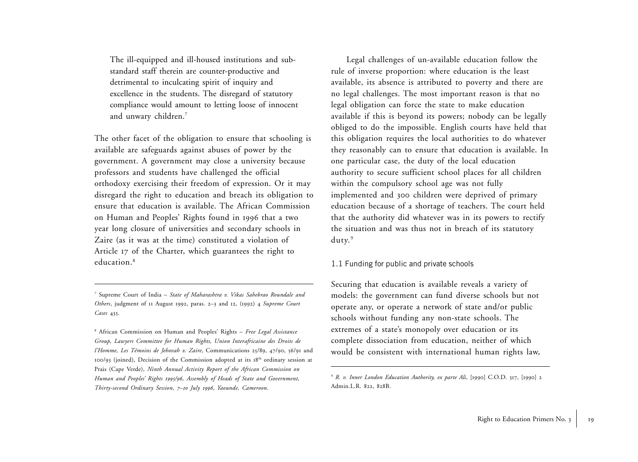The ill-equipped and ill-housed institutions and substandard staff therein are counter-productive and detrimental to inculcating spirit of inquiry and excellence in the students. The disregard of statutory compliance would amount to letting loose of innocent and unwary children.7

The other facet of the obligation to ensure that schooling is available are safeguards against abuses of power by the government. A government may close a university because professors and students have challenged the official orthodoxy exercising their freedom of expression. Or it may disregard the right to education and breach its obligation to ensure that education is available. The African Commission on Human and Peoples' Rights found in 1996 that a two year long closure of universities and secondary schools in Zaire (as it was at the time) constituted a violation of Article 17 of the Charter, which guarantees the right to education.8

7 Supreme Court of India – *State of Maharashtra v. Vikas Sahebrao Roundale and Others*, judgment of 11 August <sup>1992</sup>, paras. <sup>2</sup>–3 and 12, (1992) <sup>4</sup> *Supreme Court Cases* 435.

8 African Commission on Human and Peoples' Rights – *Free Legal Assistance Group, Lawyers Committee for Human Rights, Union Interafricaine des Droits de l'Homme, Les Témoins de Jehovah v. Zaire*, Communications 25/89, 47/90, 56/91 and 100/93 (joined), Decision of the Commission adopted at its  $18<sup>th</sup>$  ordinary session at Prais (Cape Verde), *Ninth Annual Activity Report of the African Commission on Human and Peoples' Rights 1995/96, Assembly of Heads of State and Government, Thirty-second Ordinary Session, <sup>7</sup>–<sup>10</sup> July 1996, Yaounde, Cameroon*.

Legal challenges of un-available education follow the rule of inverse proportion: where education is the least available, its absence is attributed to poverty and there are no legal challenges. The most important reason is that no legal obligation can force the state to make education available if this is beyond its powers; nobody can be legally obliged to do the impossible. English courts have held that this obligation requires the local authorities to do whatever they reasonably can to ensure that education is available. In one particular case, the duty of the local education authority to secure sufficient school places for all children within the compulsory school age was not fully implemented and 300 children were deprived of primary education because of a shortage of teachers. The court held that the authority did whatever was in its powers to rectify the situation and was thus not in breach of its statutory duty.<sup>9</sup>

#### 1.1 Funding for public and private schools

Securing that education is available reveals a variety of models: the government can fund diverse schools but not operate any, or operate a network of state and/or public schools without funding any non-state schools. The extremes of a state's monopoly over education or its complete dissociation from education, neither of which would be consistent with international human rights law,

<sup>9</sup> *R. v. Inner London Education Authority, ex parte Ali*, [1990] C.O.D. 317, [1990] <sup>2</sup> Admin.L.R. 822, 828B.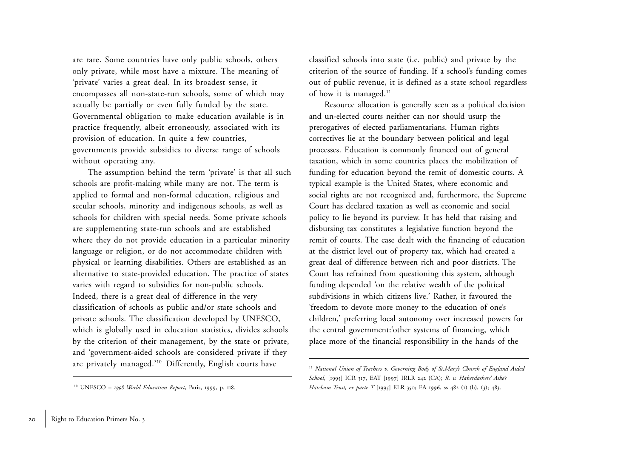are rare. Some countries have only public schools, others only private, while most have a mixture. The meaning of 'private' varies a great deal. In its broadest sense, it encompasses all non-state-run schools, some of which may actually be partially or even fully funded by the state. Governmental obligation to make education available is in practice frequently, albeit erroneously, associated with its provision of education. In quite a few countries, governments provide subsidies to diverse range of schools without operating any.

The assumption behind the term 'private' is that all such schools are profit-making while many are not. The term is applied to formal and non-formal education, religious and secular schools, minority and indigenous schools, as well as schools for children with special needs. Some private schools are supplementing state-run schools and are established where they do not provide education in a particular minority language or religion, or do not accommodate children with <sup>p</sup>hysical or learning disabilities. Others are established as an alternative to state-provided education. The practice of states varies with regard to subsidies for non-public schools. Indeed, there is a great deal of difference in the very classification of schools as public and/or state schools and private schools. The classification developed by UNESCO, which is globally used in education statistics, divides schools by the criterion of their management, by the state or private, and 'government-aided schools are considered private if they are privately managed.'10 Differently, English courts have

classified schools into state (i.e. public) and private by the criterion of the source of funding. If a school's funding comes out of public revenue, it is defined as a state school regardless of how it is managed.<sup>11</sup>

Resource allocation is generally seen as a political decision and un-elected courts neither can nor should usurp the prerogatives of elected parliamentarians. Human rights correctives lie at the boundary between political and legal processes. Education is commonly financed out of general taxation, which in some countries places the mobilization of funding for education beyond the remit of domestic courts. A typical example is the United States, where economic and social rights are not recognized and, furthermore, the Supreme Court has declared taxation as well as economic and social policy to lie beyond its purview. It has held that raising and disbursing tax constitutes a legislative function beyond the remit of courts. The case dealt with the financing of education at the district level out of property tax, which had created a great deal of difference between rich and poor districts. The Court has refrained from questioning this system, although funding depended 'on the relative wealth of the political subdivisions in which citizens live.' Rather, it favoured the 'freedom to devote more money to the education of one's children,' preferring local autonomy over increased powers for the central government:'other systems of financing, which place more of the financial responsibility in the hands of the

<sup>10</sup> UNESCO – *1998 World Education Report*, Paris, 1999, p. 118.

<sup>&</sup>lt;sup>11</sup> National Union of Teachers v. Governing Body of St. Mary's Church of England Aided *School*, [1995] ICR 317, EAT [1997] IRLR 242 (CA); *R. v. Haberdashers' Aske's Hatcham Trust, ex parte T* [1995] ELR 350; EA 1996, ss 482 (1) (b), (3); 483.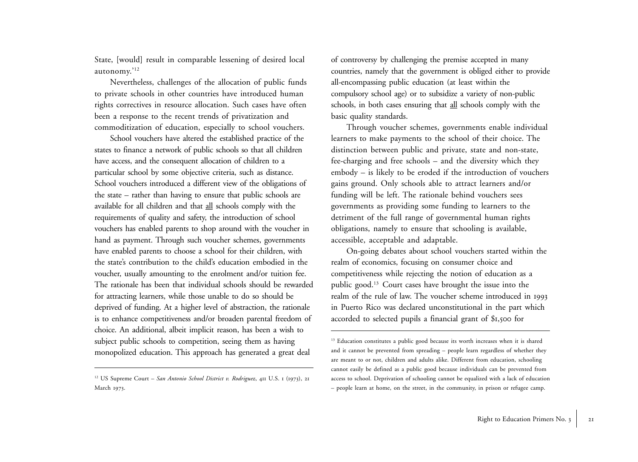State, [would] result in comparable lessening of desired local autonomy.'<sup>12</sup>

Nevertheless, challenges of the allocation of public funds to private schools in other countries have introduced human rights correctives in resource allocation. Such cases have often been a response to the recent trends of privatization and commoditization of education, especially to school vouchers.

School vouchers have altered the established practice of the states to finance a network of public schools so that all children have access, and the consequent allocation of children to a particular school by some objective criteria, such as distance. School vouchers introduced a different view of the obligations of the state – rather than having to ensure that public schools are available for all children and that all schools comply with the requirements of quality and safety, the introduction of school vouchers has enabled parents to shop around with the voucher in hand as payment. Through such voucher schemes, governments have enabled parents to choose a school for their children, with the state's contribution to the child's education embodied in the voucher, usually amounting to the enrolment and/or tuition fee. The rationale has been that individual schools should be rewarded for attracting learners, while those unable to do so should be deprived of funding. At a higher level of abstraction, the rationale is to enhance competitiveness and/or broaden parental freedom of choice. An additional, albeit implicit reason, has been a wish to subject public schools to competition, seeing them as having monopolized education. This approach has generated a great deal

of controversy by challenging the premise accepted in many countries, namely that the government is obliged either to provide all-encompassing public education (at least within the compulsory school age) or to subsidize a variety of non-public schools, in both cases ensuring that all schools comply with the basic quality standards.

Through voucher schemes, governments enable individual learners to make payments to the school of their choice. The distinction between public and private, state and non-state, fee-charging and free schools – and the diversity which they embody – is likely to be eroded if the introduction of vouchers gains ground. Only schools able to attract learners and/or funding will be left. The rationale behind vouchers sees governments as providing some funding to learners to the detriment of the full range of governmental human rights obligations, namely to ensure that schooling is available, accessible, acceptable and adaptable.

On-going debates about school vouchers started within the realm of economics, focusing on consumer choice and competitiveness while rejecting the notion of education as a public good.13 Court cases have brought the issue into the realm of the rule of law. The voucher scheme introduced in <sup>1993</sup> in Puerto Rico was declared unconstitutional in the part which accorded to selected pupils a financial grant of \$<sup>1</sup>,500 for

<sup>12</sup> US Supreme Court – *San Antonio School District v. Rodriguez*, 411 U.S. 1 (1973), <sup>21</sup> March 1973.

<sup>&</sup>lt;sup>13</sup> Education constitutes a public good because its worth increases when it is shared and it cannot be prevented from spreading – people learn regardless of whether they are meant to or not, children and adults alike. Different from education, schooling cannot easily be defined as a public good because individuals can be prevented from access to school. Deprivation of schooling cannot be equalized with a lack of education – people learn at home, on the street, in the community, in prison or refugee camp.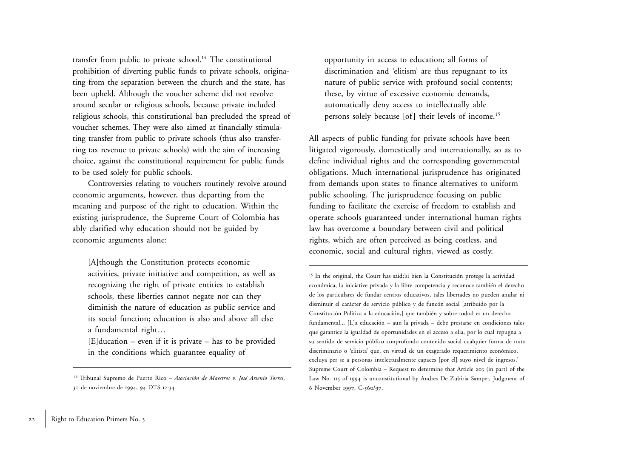transfer from public to private school.<sup>14</sup> The constitutional prohibition of diverting public funds to private schools, originating from the separation between the church and the state, has been upheld. Although the voucher scheme did not revolve around secular or religious schools, because private included religious schools, this constitutional ban precluded the spread of voucher schemes. They were also aimed at financially stimulating transfer from public to private schools (thus also transferring tax revenue to private schools) with the aim of increasing choice, against the constitutional requirement for public funds to be used solely for public schools.

Controversies relating to vouchers routinely revolve around economic arguments, however, thus departing from the meaning and purpose of the right to education. Within the existing jurisprudence, the Supreme Court of Colombia has ably clarified why education should not be guided by economic arguments alone:

[A]though the Constitution protects economic activities, private initiative and competition, as well as recognizing the right of private entities to establish schools, these liberties cannot negate nor can they diminish the nature of education as public service and its social function; education is also and above all else a fundamental right…

 $[E]$ ducation – even if it is private – has to be provided in the conditions which guarantee equality of

opportunity in access to education; all forms of discrimination and 'elitism' are thus repugnant to its nature of public service with profound social contents; these, by virtue of excessive economic demands, automatically deny access to intellectually able persons solely because [of] their levels of income.15

All aspects of public funding for private schools have been litigated vigorously, domestically and internationally, so as to define individual rights and the corresponding governmental obligations. Much international jurisprudence has originated from demands upon states to finance alternatives to uniform public schooling. The jurisprudence focusing on public funding to facilitate the exercise of freedom to establish and operate schools guaranteed under international human rights law has overcome a boundary between civil and political rights, which are often perceived as being costless, and economic, social and cultural rights, viewed as costly.

15 In the original, the Court has said:'si bien la Constitución protege la actividad económica, la iniciative privada y la libre competencia y reconoce también el derecho de los particulares de fundar centros educativos, tales libertades no pueden anular ni disminuir el carácter de servicio público y de funcón social [atribuido por la Constitución Política a la educación,] que también y sobre todod es un derecho fundamental... [L]a educación – aun la privada – debe prestarse en condiciones tales que garantice la igualdad de oportunidades en el acceso a ella, por lo cual repugna a su sentido de servicio público conprofundo contenido social cualquier forma de trato discriminario o 'elitista' que, en virtud de un exagerado requerimiento económico, excluya per se a personas intelectualmente capaces [por el] suyo nivel de ingresos.' Supreme Court of Colombia – Request to determine that Article 203 (in part) of the Law No. 115 of 1994 is unconstitutional by Andres De Zubiria Samper, Judgment of 6 November 1997, C-560/97.

<sup>14</sup> Tribunal Supremo de Puerto Rico – *Asociación de Maestros v. José Arsenio Torres*, <sup>30</sup> de noviembre de 1994, 94 DTS <sup>12</sup>:34.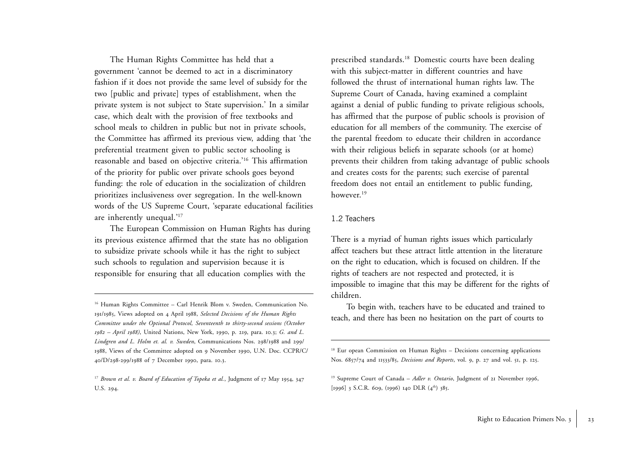The Human Rights Committee has held that a government 'cannot be deemed to act in a discriminatory fashion if it does not provide the same level of subsidy for the two [public and private] types of establishment, when the private system is not subject to State supervision.' In a similar case, which dealt with the provision of free textbooks and school meals to children in public but not in private schools, the Committee has affirmed its previous view, adding that 'the preferential treatment given to public sector schooling is reasonable and based on objective criteria.'16 This affirmation of the priority for public over private schools goes beyond funding: the role of education in the socialization of children prioritizes inclusiveness over segregation. In the well-known words of the US Supreme Court, 'separate educational facilities are inherently unequal.'17

The European Commission on Human Rights has during its previous existence affirmed that the state has no obligation to subsidize private schools while it has the right to subject such schools to regulation and supervision because it is responsible for ensuring that all education complies with the

prescribed standards.18 Domestic courts have been dealing with this subject-matter in different countries and have followed the thrust of international human rights law. The Supreme Court of Canada, having examined a complaint against a denial of public funding to private religious schools, has affirmed that the purpose of public schools is provision of education for all members of the community. The exercise of the parental freedom to educate their children in accordance with their religious beliefs in separate schools (or at home) prevents their children from taking advantage of public schools and creates costs for the parents; such exercise of parental freedom does not entail an entitlement to public funding, however.<sup>19</sup>

### 1.2 Teachers

There is a myriad of human rights issues which particularly affect teachers but these attract little attention in the literature on the right to education, which is focused on children. If the rights of teachers are not respected and protected, it is impossible to imagine that this may be different for the rights of children.

To begin with, teachers have to be educated and trained to teach, and there has been no hesitation on the part of courts to

<sup>&</sup>lt;sup>16</sup> Human Rights Committee – Carl Henrik Blom v. Sweden, Communication No. <sup>191</sup>/1985, Views adopted on 4 April 1988, *Selected Decisions of the Human Rights Committee under the Optional Protocol, Seventeenth to thirty-second sessions (October 1982 – April 1988)*, United Nations, New York, 1990, p. 219, para. <sup>10</sup>.3; *G. and L. Lindgren and L. Holm et. al. v. Sweden*, Communications Nos. 298/1988 and 299/ 1988, Views of the Committee adopted on 9 November 1990, U.N. Doc. CCPR/C/ <sup>40</sup>/D/298-299/1988 of 7 December 1990, para. <sup>10</sup>.3.

<sup>17</sup> *Brown et al. v. Board of Education of Topeka et al.*, Judgment of 17 May <sup>1954</sup>, <sup>347</sup> U.S. 294.

<sup>&</sup>lt;sup>18</sup> Eur opean Commission on Human Rights – Decisions concerning applications Nos. 6857/74 and 11533/85, *Decisions and Reports*, vol. 9, p. 27 and vol. 51, p. 125.

<sup>&</sup>lt;sup>19</sup> Supreme Court of Canada – Adler v. Ontario, Judgment of 21 November 1996, [1996] 3 S.C.R. 609, (1996) 140 DLR  $(4^{th})$  385.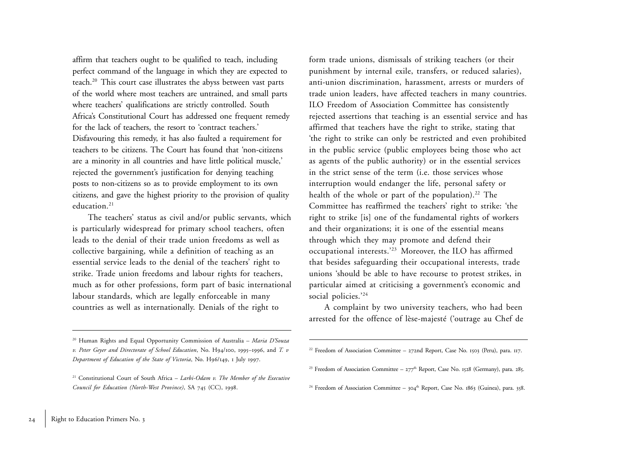affirm that teachers ought to be qualified to teach, including perfect command of the language in which they are expected to teach.20 This court case illustrates the abyss between vast parts of the world where most teachers are untrained, and small parts where teachers' qualifications are strictly controlled. South Africa's Constitutional Court has addressed one frequent remedy for the lack of teachers, the resort to 'contract teachers.' Disfavouring this remedy, it has also faulted a requirement for teachers to be citizens. The Court has found that 'non-citizens are a minority in all countries and have little political muscle,' rejected the government's justification for denying teaching posts to non-citizens so as to provide employment to its own citizens, and gave the highest priority to the provision of quality education.<sup>21</sup>

The teachers' status as civil and/or public servants, which is particularly widespread for primary school teachers, often leads to the denial of their trade union freedoms as well as collective bargaining, while a definition of teaching as an essential service leads to the denial of the teachers' right to strike. Trade union freedoms and labour rights for teachers, much as for other professions, form part of basic international labour standards, which are legally enforceable in many countries as well as internationally. Denials of the right to

form trade unions, dismissals of striking teachers (or their punishment by internal exile, transfers, or reduced salaries), anti-union discrimination, harassment, arrests or murders of trade union leaders, have affected teachers in many countries. ILO Freedom of Association Committee has consistently rejected assertions that teaching is an essential service and has affirmed that teachers have the right to strike, stating that 'the right to strike can only be restricted and even prohibited in the public service (public employees being those who act as agents of the public authority) or in the essential services in the strict sense of the term (i.e. those services whose interruption would endanger the life, personal safety or health of the whole or part of the population).<sup>22</sup> The Committee has reaffirmed the teachers' right to strike: 'the right to strike [is] one of the fundamental rights of workers and their organizations; it is one of the essential means through which they may promote and defend their occupational interests.'23 Moreover, the ILO has affirmed that besides safeguarding their occupational interests, trade unions 'should be able to have recourse to protest strikes, in particular aimed at criticising a government's economic and social policies.'24

A complaint by two university teachers, who had been arrested for the offence of lèse-majesté ('outrage au Chef de

- <sup>23</sup> Freedom of Association Committee  $277<sup>th</sup>$  Report, Case No. 1528 (Germany), para. 285.
- <sup>24</sup> Freedom of Association Committee  $304<sup>th</sup>$  Report, Case No. 1863 (Guinea), para. 358.

<sup>20</sup> Human Rights and Equal Opportunity Commission of Australia – *Maria D'Souza v. Peter Geyer and Directorate of School Education*, No. H94/<sup>100</sup>, 1995–1996, and *T. v Department of Education of the State of Victoria*, No. H96/149, <sup>1</sup> July <sup>1997</sup>.

<sup>21</sup> Constitutional Court of South Africa – *Larbi-Odam v. The Member of the Executive Council for Education (North-West Province)*, SA 745 (CC), 1998.

<sup>22</sup> Freedom of Association Committee – <sup>272</sup>nd Report, Case No. 1503 (Peru), para. <sup>117</sup>.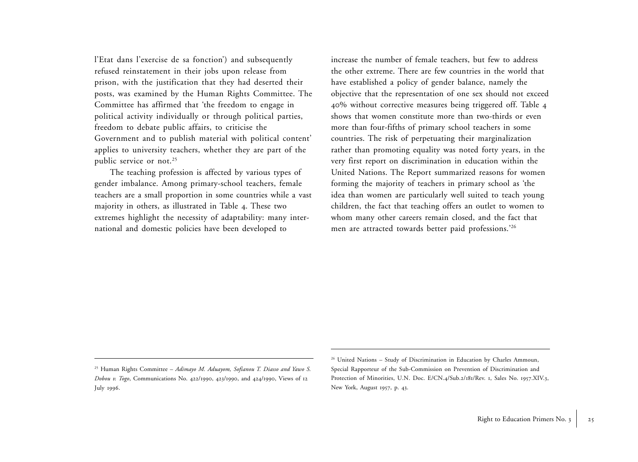l'Etat dans l'exercise de sa fonction') and subsequently refused reinstatement in their jobs upon release from prison, with the justification that they had deserted their posts, was examined by the Human Rights Committee. The Committee has affirmed that 'the freedom to engage in political activity individually or through political parties, freedom to debate public affairs, to criticise the Government and to publish material with political content' applies to university teachers, whether they are part of the public service or not.<sup>25</sup>

The teaching profession is affected by various types of gender imbalance. Among primary-school teachers, female teachers are a small proportion in some countries while a vast majority in others, as illustrated in Table 4. These two extremes highlight the necessity of adaptability: many international and domestic policies have been developed to

increase the number of female teachers, but few to address the other extreme. There are few countries in the world that have established a policy of gender balance, namely the objective that the representation of one sex should not exceed <sup>40</sup>% without corrective measures being triggered off. Table <sup>4</sup> shows that women constitute more than two-thirds or even more than four-fifths of primary school teachers in some countries. The risk of perpetuating their marginalization rather than promoting equality was noted forty years, in the very first report on discrimination in education within the United Nations. The Report summarized reasons for women forming the majority of teachers in primary school as 'the idea than women are particularly well suited to teach young children, the fact that teaching offers an outlet to women to whom many other careers remain closed, and the fact that men are attracted towards better paid professions.'26

<sup>25</sup> Human Rights Committee – *Adimayo M. Aduayom, Sofianou T. Diasso and Yawo S. Dobou v. Togo*, Communications No. 422/1990, 423/1990, and 424/1990, Views of <sup>12</sup> July 1996.

<sup>&</sup>lt;sup>26</sup> United Nations – Study of Discrimination in Education by Charles Ammoun, Special Rapporteur of the Sub-Commission on Prevention of Discrimination and Protection of Minorities, U.N. Doc. E/CN.4/Sub.2/181/Rev. 1, Sales No. 1957.XIV.3, New York, August <sup>1957</sup>, p. 43.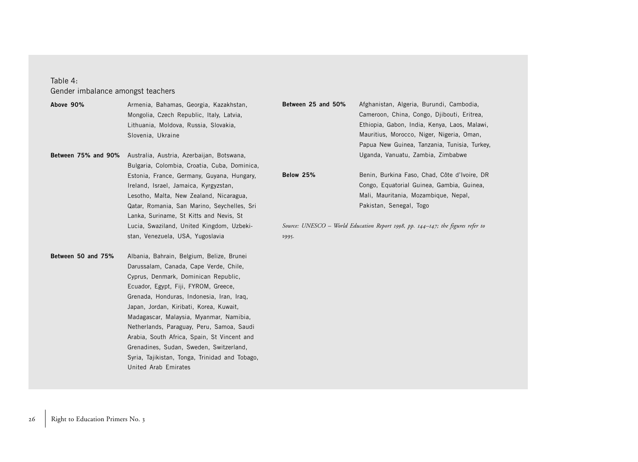### Table 4: Gender imbalance amongst teachers

**Above 90%** Armenia, Bahamas, Georgia, Kazakhstan, Mongolia, Czech Republic, Italy, Latvia, Lithuania, Moldova, Russia, Slovakia, Slovenia, Ukraine **Between 75% and 90%** Australia, Austria, Azerbaijan, Botswana, Bulgaria, Colombia, Croatia, Cuba, Dominica, Estonia, France, Germany, Guyana, Hungary, Ireland, Israel, Jamaica, Kyrgyzstan, Lesotho, Malta, New Zealand, Nicaragua, Qatar, Romania, San Marino, Seychelles, Sri Lanka, Suriname, St Kitts and Nevis, St Lucia, Swaziland, United Kingdom, Uzbekistan, Venezuela, USA, Yugoslavia **Between 50 and 75%** Albania, Bahrain, Belgium, Belize, Brunei Darussalam, Canada, Cape Verde, Chile, **Between 25 and 50%** Afghanistan, Algeria, Burundi, Cambodia, Cameroon, China, Congo, Djibouti, Eritrea, Ethiopia, Gabon, India, Kenya, Laos, Malawi, Mauritius, Morocco, Niger, Nigeria, Oman, Papua New Guinea, Tanzania, Tunisia, Turkey, Uganda, Vanuatu, Zambia, Zimbabwe Below 25% Benin, Burkina Faso, Chad, Côte d'Ivoire, DR Congo, Equatorial Guinea, Gambia, Guinea, Mali, Mauritania, Mozambique, Nepal, Pakistan, Senegal, Togo *Source: UNESCO – World Education Report 1998, pp. 144–147; the figures refer to* 1995*.*

Cyprus, Denmark, Dominican Republic, Ecuador, Egypt, Fiji, FYROM, Greece, Grenada, Honduras, Indonesia, Iran, Iraq, Japan, Jordan, Kiribati, Korea, Kuwait, Madagascar, Malaysia, Myanmar, Namibia, Netherlands, Paraguay, Peru, Samoa, Saudi Arabia, South Africa, Spain, St Vincent and Grenadines, Sudan, Sweden, Switzerland, Syria, Tajikistan, Tonga, Trinidad and Tobago, United Arab Emirates

26 | Right to Education Primers No. 3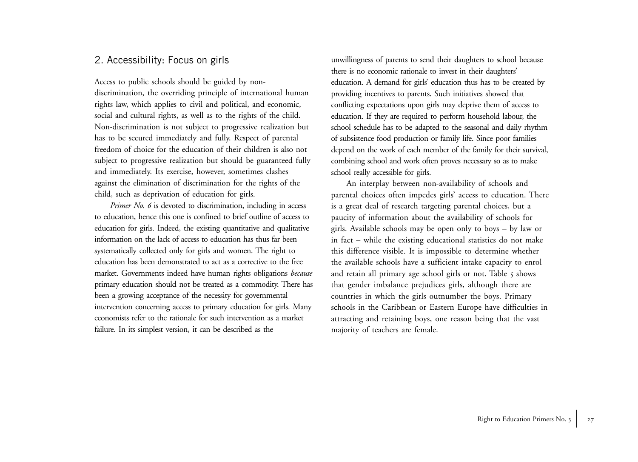## 2. Accessibility: Focus on girls

Access to public schools should be guided by nondiscrimination, the overriding principle of international human rights law, which applies to civil and political, and economic, social and cultural rights, as well as to the rights of the child. Non-discrimination is not subject to progressive realization but has to be secured immediately and fully. Respect of parental freedom of choice for the education of their children is also not subject to progressive realization but should be guaranteed fully and immediately. Its exercise, however, sometimes clashes against the elimination of discrimination for the rights of the child, such as deprivation of education for girls.

*Primer No. 6* is devoted to discrimination, including in access to education, hence this one is confined to brief outline of access to education for girls. Indeed, the existing quantitative and qualitative information on the lack of access to education has thus far been systematically collected only for girls and women. The right to education has been demonstrated to act as a corrective to the free market. Governments indeed have human rights obligations *because* primary education should not be treated as a commodity. There has been a growing acceptance of the necessity for governmental intervention concerning access to primary education for girls. Many economists refer to the rationale for such intervention as a market failure. In its simplest version, it can be described as the

unwillingness of parents to send their daughters to school because there is no economic rationale to invest in their daughters' education. A demand for girls' education thus has to be created by providing incentives to parents. Such initiatives showed that conflicting expectations upon girls may deprive them of access to education. If they are required to perform household labour, the school schedule has to be adapted to the seasonal and daily rhythm of subsistence food production or family life. Since poor families depend on the work of each member of the family for their survival, combining school and work often proves necessary so as to make school really accessible for girls.

An interplay between non-availability of schools and parental choices often impedes girls' access to education. There is a great deal of research targeting parental choices, but a paucity of information about the availability of schools for <sup>g</sup>irls. Available schools may be open only to boys – by law or in fact – while the existing educational statistics do not make this difference visible. It is impossible to determine whether the available schools have a sufficient intake capacity to enrol and retain all primary age school girls or not. Table 5 shows that gender imbalance prejudices girls, although there are countries in which the girls outnumber the boys. Primary schools in the Caribbean or Eastern Europe have difficulties in attracting and retaining boys, one reason being that the vast majority of teachers are female.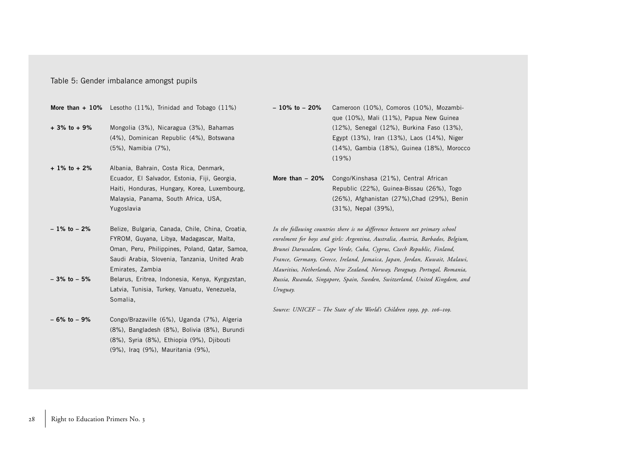#### Table 5: Gender imbalance amongst pupils

**More than + 10%** Lesotho (11%), Trinidad and Tobago (11%)

- **+ 3% to + 9%** Mongolia (3%), Nicaragua (3%), Bahamas (4%), Dominican Republic (4%), Botswana (5%), Namibia (7%),
- **+ 1% to + 2%** Albania, Bahrain, Costa Rica, Denmark, Ecuador, El Salvador, Estonia, Fiji, Georgia, Haiti, Honduras, Hungary, Korea, Luxembourg, Malaysia, Panama, South Africa, USA, Yugoslavia
- **1% to 2%** Belize, Bulgaria, Canada, Chile, China, Croatia, FYROM, Guyana, Libya, Madagascar, Malta, Oman, Peru, Philippines, Poland, Qatar, Samoa, Saudi Arabia, Slovenia, Tanzania, United Arab Emirates, Zambia **– 3% to – 5%** Belarus, Eritrea, Indonesia, Kenya, Kyrgyzstan,
- Latvia, Tunisia, Turkey, Vanuatu, Venezuela, Somalia,
- **6% to 9%** Congo/Brazaville (6%), Uganda (7%), Algeria (8%), Bangladesh (8%), Bolivia (8%), Burundi (8%), Syria (8%), Ethiopia (9%), Djibouti (9%), Iraq (9%), Mauritania (9%),
- **10% to 20%** Cameroon (10%), Comoros (10%), Mozambique (10%), Mali (11%), Papua New Guinea (12%), Senegal (12%), Burkina Faso (13%), Egypt (13%), Iran (13%), Laos (14%), Niger (14%), Gambia (18%), Guinea (18%), Morocco (19%)
- **More than 20%** Congo/Kinshasa (21%), Central African Republic (22%), Guinea-Bissau (26%), Togo (26%), Afghanistan (27%),Chad (29%), Benin (31%), Nepal (39%),
- *In the following countries there is no difference between net primary school enrolment for boys and girls: Argentina, Australia, Austria, Barbados, Belgium, Brunei Darussalam, Cape Verde, Cuba, Cyprus, Czech Republic, Finland, France, Germany, Greece, Ireland, Jamaica, Japan, Jordan, Kuwait, Malawi, Mauritius, Netherlands, New Zealand, Norway, Paraguay, Portugal, Romania, Russia, Rwanda, Singapore, Spain, Sweden, Switzerland, United Kingdom, and Uruguay.*

*Source: UNICEF – The State of the World's Children 1999, pp. 106–109.*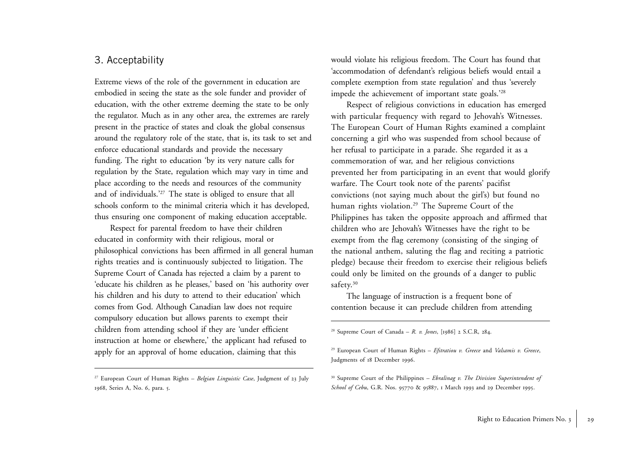## 3. Acceptability

Extreme views of the role of the government in education are embodied in seeing the state as the sole funder and provider of education, with the other extreme deeming the state to be only the regulator. Much as in any other area, the extremes are rarely present in the practice of states and cloak the global consensus around the regulatory role of the state, that is, its task to set and enforce educational standards and provide the necessary funding. The right to education 'by its very nature calls for regulation by the State, regulation which may vary in time and <sup>p</sup>lace according to the needs and resources of the community and of individuals.'27 The state is obliged to ensure that all schools conform to the minimal criteria which it has developed, thus ensuring one component of making education acceptable.

Respect for parental freedom to have their children educated in conformity with their religious, moral or <sup>p</sup>hilosophical convictions has been affirmed in all general human rights treaties and is continuously subjected to litigation. The Supreme Court of Canada has rejected a claim by a parent to 'educate his children as he pleases,' based on 'his authority over his children and his duty to attend to their education' which comes from God. Although Canadian law does not require compulsory education but allows parents to exempt their children from attending school if they are 'under efficient instruction at home or elsewhere,' the applicant had refused to apply for an approval of home education, claiming that this

would violate his religious freedom. The Court has found that 'accommodation of defendant's religious beliefs would entail a complete exemption from state regulation' and thus 'severely impede the achievement of important state goals.'28

Respect of religious convictions in education has emerged with particular frequency with regard to Jehovah's Witnesses. The European Court of Human Rights examined a complaint concerning a girl who was suspended from school because of her refusal to participate in a parade. She regarded it as a commemoration of war, and her religious convictions prevented her from participating in an event that would glorify warfare. The Court took note of the parents' pacifist convictions (not saying much about the girl's) but found no human rights violation.<sup>29</sup> The Supreme Court of the Philippines has taken the opposite approach and affirmed that children who are Jehovah's Witnesses have the right to be exempt from the flag ceremony (consisting of the singing of the national anthem, saluting the flag and reciting a patriotic <sup>p</sup>ledge) because their freedom to exercise their religious beliefs could only be limited on the grounds of a danger to public safety.<sup>30</sup>

The language of instruction is a frequent bone of contention because it can preclude children from attending

28 Supreme Court of Canada – *R. v. Jones*, [1986] 2 S.C.R, 284.

<sup>27</sup> European Court of Human Rights – *Belgian Linguistic Case*, Judgment of 23 July 1968, Series A, No. 6, para. 5.

<sup>29</sup> European Court of Human Rights – *Efstratiou v. Greece* and *Valsamis v. Greece*, Judgments of 18 December 1996.

<sup>30</sup> Supreme Court of the Philippines – *Ebralinag v. The Division Superintendent of School of Cebu*, G.R. Nos. 95770 & 95887, <sup>1</sup> March 1993 and 29 December 1995.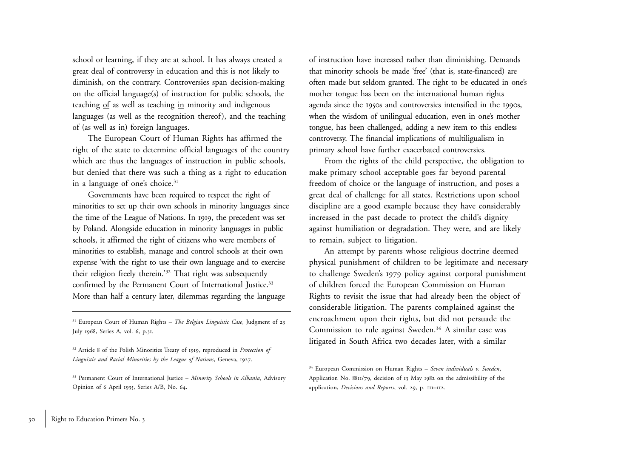school or learning, if they are at school. It has always created a great deal of controversy in education and this is not likely to diminish, on the contrary. Controversies span decision-making on the official language(s) of instruction for public schools, the teaching of as well as teaching in minority and indigenous languages (as well as the recognition thereof), and the teaching of (as well as in) foreign languages.

The European Court of Human Rights has affirmed the right of the state to determine official languages of the country which are thus the languages of instruction in public schools, but denied that there was such a thing as a right to education in a language of one's choice.<sup>31</sup>

Governments have been required to respect the right of minorities to set up their own schools in minority languages since the time of the League of Nations. In <sup>1919</sup>, the precedent was set by Poland. Alongside education in minority languages in public schools, it affirmed the right of citizens who were members of minorities to establish, manage and control schools at their own expense 'with the right to use their own language and to exercise their religion freely therein.'32 That right was subsequently confirmed by the Permanent Court of International Justice.<sup>33</sup> More than half a century later, dilemmas regarding the language

31 European Court of Human Rights – *The Belgian Linguistic Case*, Judgment of <sup>23</sup> July 1968, Series A, vol. 6, p.31.

of instruction have increased rather than diminishing. Demands that minority schools be made 'free' (that is, state-financed) are often made but seldom granted. The right to be educated in one's mother tongue has been on the international human rights agenda since the 1950s and controversies intensified in the 1990s, when the wisdom of unilingual education, even in one's mother tongue, has been challenged, adding a new item to this endless controversy. The financial implications of multiligualism in primary school have further exacerbated controversies.

From the rights of the child perspective, the obligation to make primary school acceptable goes far beyond parental freedom of choice or the language of instruction, and poses a great deal of challenge for all states. Restrictions upon school discipline are a good example because they have considerably increased in the past decade to protect the child's dignity against humiliation or degradation. They were, and are likely to remain, subject to litigation.

An attempt by parents whose religious doctrine deemed <sup>p</sup>hysical punishment of children to be legitimate and necessary to challenge Sweden's <sup>1979</sup> policy against corporal punishment of children forced the European Commission on Human Rights to revisit the issue that had already been the object of considerable litigation. The parents complained against the encroachment upon their rights, but did not persuade the Commission to rule against Sweden.<sup>34</sup> A similar case was litigated in South Africa two decades later, with a similar

<sup>32</sup> Article 8 of the Polish Minorities Treaty of <sup>1919</sup>, reproduced in *Protection of Linguistic and Racial Minorities by the League of Nations*, Geneva, 1927.

<sup>33</sup> Permanent Court of International Justice – *Minority Schools in Albania*, Advisory Opinion of 6 April <sup>1935</sup>, Series A/B, No. 64.

<sup>34</sup> European Commission on Human Rights – *Seven individuals v. Sweden*, Application No. 8811/79, decision of 13 May 1982 on the admissibility of the application, *Decisions and Reports*, vol. 29, p. <sup>111</sup>–112.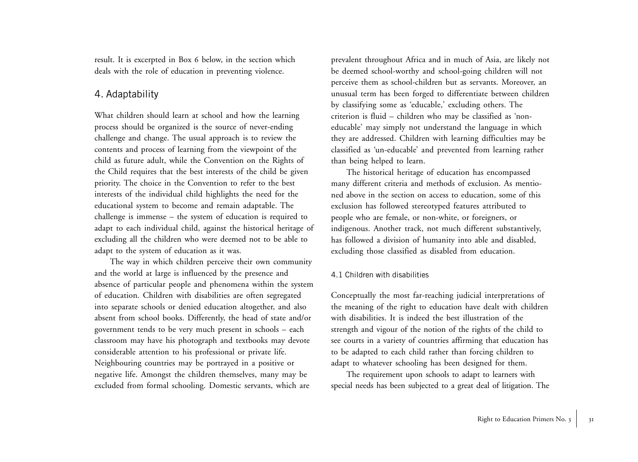result. It is excerpted in Box 6 below, in the section which deals with the role of education in preventing violence.

### 4. Adaptability

What children should learn at school and how the learning process should be organized is the source of never-ending challenge and change. The usual approach is to review the contents and process of learning from the viewpoint of the child as future adult, while the Convention on the Rights of the Child requires that the best interests of the child be given priority. The choice in the Convention to refer to the best interests of the individual child highlights the need for the educational system to become and remain adaptable. The challenge is immense – the system of education is required to adapt to each individual child, against the historical heritage of excluding all the children who were deemed not to be able to adapt to the system of education as it was.

The way in which children perceive their own community and the world at large is influenced by the presence and absence of particular people and phenomena within the system of education. Children with disabilities are often segregated into separate schools or denied education altogether, and also absent from school books. Differently, the head of state and/or government tends to be very much present in schools – each classroom may have his photograph and textbooks may devote considerable attention to his professional or private life. Neighbouring countries may be portrayed in a positive or negative life. Amongst the children themselves, many may be excluded from formal schooling. Domestic servants, which are

prevalent throughout Africa and in much of Asia, are likely not be deemed school-worthy and school-going children will not perceive them as school-children but as servants. Moreover, an unusual term has been forged to differentiate between children by classifying some as 'educable,' excluding others. The criterion is fluid – children who may be classified as 'noneducable' may simply not understand the language in which they are addressed. Children with learning difficulties may be classified as 'un-educable' and prevented from learning rather than being helped to learn.

The historical heritage of education has encompassed many different criteria and methods of exclusion. As mentioned above in the section on access to education, some of this exclusion has followed stereotyped features attributed to people who are female, or non-white, or foreigners, or indigenous. Another track, not much different substantively, has followed a division of humanity into able and disabled, excluding those classified as disabled from education.

### 4.1 Children with disabilities

Conceptually the most far-reaching judicial interpretations of the meaning of the right to education have dealt with children with disabilities. It is indeed the best illustration of the strength and vigour of the notion of the rights of the child to see courts in a variety of countries affirming that education has to be adapted to each child rather than forcing children to adapt to whatever schooling has been designed for them.

The requirement upon schools to adapt to learners with special needs has been subjected to a great deal of litigation. The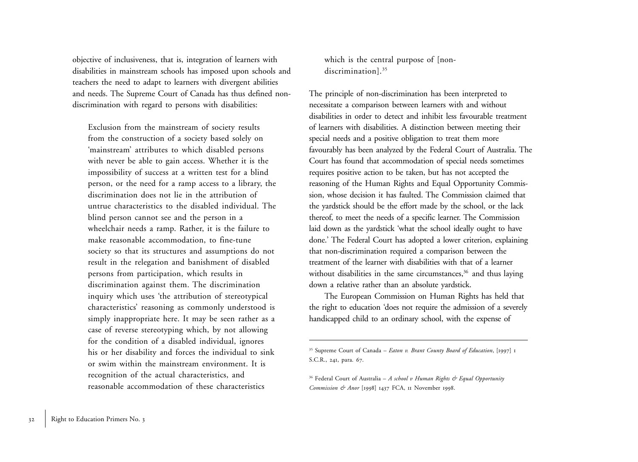objective of inclusiveness, that is, integration of learners with disabilities in mainstream schools has imposed upon schools and teachers the need to adapt to learners with divergent abilities and needs. The Supreme Court of Canada has thus defined nondiscrimination with regard to persons with disabilities:

Exclusion from the mainstream of society results from the construction of a society based solely on 'mainstream' attributes to which disabled persons with never be able to gain access. Whether it is the impossibility of success at a written test for a blind person, or the need for a ramp access to a library, the discrimination does not lie in the attribution of untrue characteristics to the disabled individual. The blind person cannot see and the person in a wheelchair needs a ramp. Rather, it is the failure to make reasonable accommodation, to fine-tune society so that its structures and assumptions do not result in the relegation and banishment of disabled persons from participation, which results in discrimination against them. The discrimination inquiry which uses 'the attribution of stereotypical characteristics' reasoning as commonly understood is simply inappropriate here. It may be seen rather as a case of reverse stereotyping which, by not allowing for the condition of a disabled individual, ignores his or her disability and forces the individual to sink or swim within the mainstream environment. It is recognition of the actual characteristics, and reasonable accommodation of these characteristics

which is the central purpose of [nondiscrimination].<sup>35</sup>

The principle of non-discrimination has been interpreted to necessitate a comparison between learners with and without disabilities in order to detect and inhibit less favourable treatment of learners with disabilities. A distinction between meeting their special needs and a positive obligation to treat them more favourably has been analyzed by the Federal Court of Australia. The Court has found that accommodation of special needs sometimes requires positive action to be taken, but has not accepted the reasoning of the Human Rights and Equal Opportunity Commission, whose decision it has faulted. The Commission claimed that the yardstick should be the effort made by the school, or the lack thereof, to meet the needs of a specific learner. The Commission laid down as the yardstick 'what the school ideally ought to have done.' The Federal Court has adopted a lower criterion, explaining that non-discrimination required a comparison between the treatment of the learner with disabilities with that of a learner without disabilities in the same circumstances,<sup>36</sup> and thus laying down a relative rather than an absolute yardstick.

The European Commission on Human Rights has held that the right to education 'does not require the admission of a severely handicapped child to an ordinary school, with the expense of

<sup>&</sup>lt;sup>35</sup> Supreme Court of Canada – *Eaton v. Brant County Board of Education*, [1997] 1 S.C.R., 241, para. 67.

<sup>36</sup> Federal Court of Australia – *A school v Human Rights & Equal Opportunity Commission & Anor* [1998] 1437 FCA, 11 November 1998.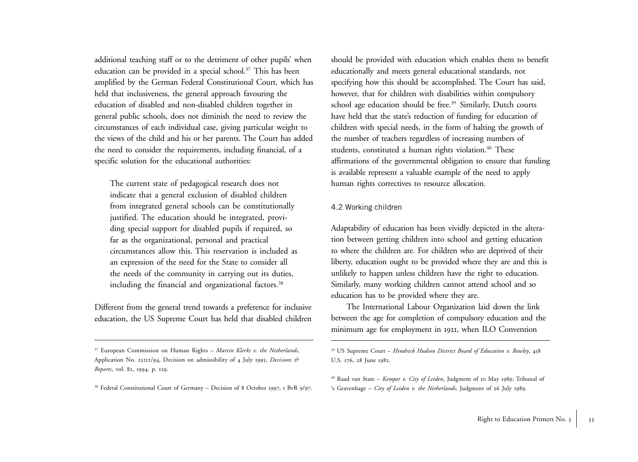additional teaching staff or to the detriment of other pupils' when education can be provided in a special school.<sup>37</sup> This has been amplified by the German Federal Constitutional Court, which has held that inclusiveness, the general approach favouring the education of disabled and non-disabled children together in general public schools, does not diminish the need to review the circumstances of each individual case, giving particular weight to the views of the child and his or her parents. The Court has added the need to consider the requirements, including financial, of a specific solution for the educational authorities:

The current state of pedagogical research does not indicate that a general exclusion of disabled children from integrated general schools can be constitutionally justified. The education should be integrated, providing special support for disabled pupils if required, so far as the organizational, personal and practical circumstances allow this. This reservation is included as an expression of the need for the State to consider all the needs of the community in carrying out its duties, including the financial and organizational factors.<sup>38</sup>

Different from the general trend towards a preference for inclusive education, the US Supreme Court has held that disabled children should be provided with education which enables them to benefit educationally and meets general educational standards, not specifying how this should be accomplished. The Court has said, however, that for children with disabilities within compulsory school age education should be free.<sup>39</sup> Similarly, Dutch courts have held that the state's reduction of funding for education of children with special needs, in the form of halting the growth of the number of teachers regardless of increasing numbers of students, constituted a human rights violation.<sup>40</sup> These affirmations of the governmental obligation to ensure that funding is available represent a valuable example of the need to apply human rights correctives to resource allocation.

### 4.2 Working children

Adaptability of education has been vividly depicted in the alteration between getting children into school and getting education to where the children are. For children who are deprived of their liberty, education ought to be provided where they are and this is unlikely to happen unless children have the right to education. Similarly, many working children cannot attend school and so education has to be provided where they are.

The International Labour Organization laid down the link between the age for completion of compulsory education and the minimum age for employment in <sup>1921</sup>, when ILO Convention

<sup>37</sup> European Commission on Human Rights – *Martin Klerks v. the Netherlands*, Application No. 25212/94, Decision on admissibility of 4 July <sup>1995</sup>, *Decisions & Reports*, vol. 82, 1994, p. 129.

<sup>&</sup>lt;sup>38</sup> Federal Constitutional Court of Germany – Decision of 8 October 1997, 1 BvR 9/97.

<sup>39</sup> US Supreme Court – *Hendrick Hudson District Board of Education v. Rowley*, 458 U.S. 176, 28 June 1982.

<sup>40</sup> Raad van State – *Kemper v. City of Leiden*, Judgment of 10 May 1989; Tribunal of 's Gravenhage – *City of Leiden v. the Netherlands*, Judgment of 26 July 1989.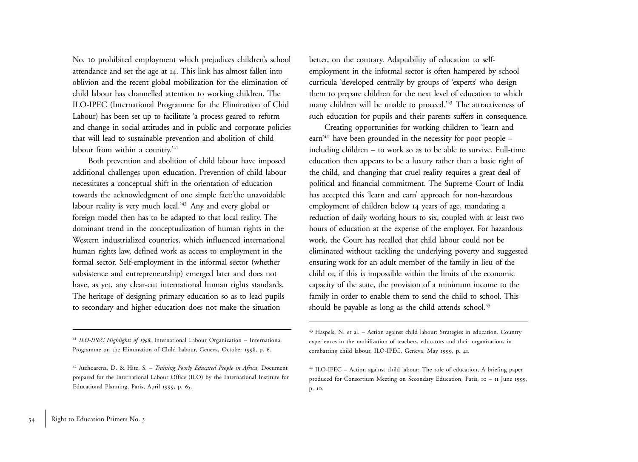No. <sup>10</sup> prohibited employment which prejudices children's school attendance and set the age at 14. This link has almost fallen into oblivion and the recent global mobilization for the elimination of child labour has channelled attention to working children. The ILO-IPEC (International Programme for the Elimination of Chid Labour) has been set up to facilitate 'a process geared to reform and change in social attitudes and in public and corporate policies that will lead to sustainable prevention and abolition of child labour from within a country.'41

Both prevention and abolition of child labour have imposed additional challenges upon education. Prevention of child labour necessitates a conceptual shift in the orientation of education towards the acknowledgment of one simple fact:'the unavoidable labour reality is very much local.'42 Any and every global or foreign model then has to be adapted to that local reality. The dominant trend in the conceptualization of human rights in the Western industrialized countries, which influenced international human rights law, defined work as access to employment in the formal sector. Self-employment in the informal sector (whether subsistence and entrepreneurship) emerged later and does not have, as yet, any clear-cut international human rights standards. The heritage of designing primary education so as to lead pupils to secondary and higher education does not make the situation

better, on the contrary. Adaptability of education to selfemployment in the informal sector is often hampered by school curricula 'developed centrally by groups of 'experts' who design them to prepare children for the next level of education to which many children will be unable to proceed.<sup>'43</sup> The attractiveness of such education for pupils and their parents suffers in consequence.

Creating opportunities for working children to 'learn and earn '44 have been grounded in the necessity for poor people – including children – to work so as to be able to survive. Full-time education then appears to be a luxury rather than a basic right of the child, and changing that cruel reality requires a great deal of political and financial commitment. The Supreme Court of India has accepted this 'learn and earn' approach for non-hazardous employment of children below <sup>14</sup> years of age, mandating a reduction of daily working hours to six, coupled with at least two hours of education at the expense of the employer. For hazardous work, the Court has recalled that child labour could not be eliminated without tackling the underlying poverty and suggested ensuring work for an adult member of the family in lieu of the child or, if this is impossible within the limits of the economic capacity of the state, the provision of a minimum income to the family in order to enable them to send the child to school. This should be payable as long as the child attends school.<sup>45</sup>

<sup>41</sup> *ILO-IPEC Highlights of 1998*, International Labour Organization – International Programme on the Elimination of Child Labour, Geneva, October 1998, p. 6.

<sup>42</sup> Atchoarena, D. & Hite, S. – *Training Poorly Educated People in Africa*, Document prepared for the International Labour Office (ILO) by the International Institute for Educational Planning, Paris, April <sup>1999</sup>, p. 65.

<sup>43</sup> Haspels, N. et al. – Action against child labour: Strategies in education. Country experiences in the mobilization of teachers, educators and their organizations in combatting child labour, ILO-IPEC, Geneva, May <sup>1999</sup>, p. 41.

<sup>44</sup> ILO-IPEC – Action against child labour: The role of education, A briefing paper produced for Consortium Meeting on Secondary Education, Paris, <sup>10</sup> – <sup>11</sup> June 1999, p. <sup>10</sup>.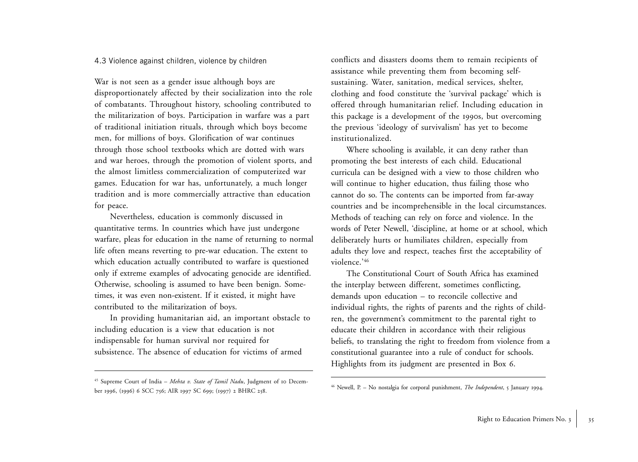#### 4.3 Violence against children, violence by children

War is not seen as a gender issue although boys are disproportionately affected by their socialization into the role of combatants. Throughout history, schooling contributed to the militarization of boys. Participation in warfare was a part of traditional initiation rituals, through which boys become men, for millions of boys. Glorification of war continues through those school textbooks which are dotted with wars and war heroes, through the promotion of violent sports, and the almost limitless commercialization of computerized war games. Education for war has, unfortunately, a much longer tradition and is more commercially attractive than education for peace.

Nevertheless, education is commonly discussed in quantitative terms. In countries which have just undergone warfare, pleas for education in the name of returning to normal life often means reverting to pre-war education. The extent to which education actually contributed to warfare is questioned only if extreme examples of advocating genocide are identified. Otherwise, schooling is assumed to have been benign. Sometimes, it was even non-existent. If it existed, it might have contributed to the militarization of boys.

In providing humanitarian aid, an important obstacle to including education is a view that education is not indispensable for human survival nor required for subsistence. The absence of education for victims of armed

45 Supreme Court of India – *Mehta v. State of Tamil Nadu*, Judgment of 10 December 1996, (1996) 6 SCC 756; AIR 1997 SC 699; (1997) 2 BHRC 258.

conflicts and disasters dooms them to remain recipients of assistance while preventing them from becoming selfsustaining. Water, sanitation, medical services, shelter, clothing and food constitute the 'survival package' which is offered through humanitarian relief. Including education in this package is a development of the 1990s, but overcoming the previous 'ideology of survivalism' has yet to become institutionalized.

Where schooling is available, it can deny rather than promoting the best interests of each child. Educational curricula can be designed with a view to those children who will continue to higher education, thus failing those who cannot do so. The contents can be imported from far-away countries and be incomprehensible in the local circumstances. Methods of teaching can rely on force and violence. In the words of Peter Newell, 'discipline, at home or at school, which deliberately hurts or humiliates children, especially from adults they love and respect, teaches first the acceptability of violence.'46

The Constitutional Court of South Africa has examined the interplay between different, sometimes conflicting, demands upon education – to reconcile collective and individual rights, the rights of parents and the rights of children, the government's commitment to the parental right to educate their children in accordance with their religious beliefs, to translating the right to freedom from violence from a constitutional guarantee into a rule of conduct for schools. Highlights from its judgment are presented in Box <sup>6</sup>.

<sup>46</sup> Newell, P. – No nostalgia for corporal punishment, *The Independent*, <sup>5</sup> January <sup>1994</sup>.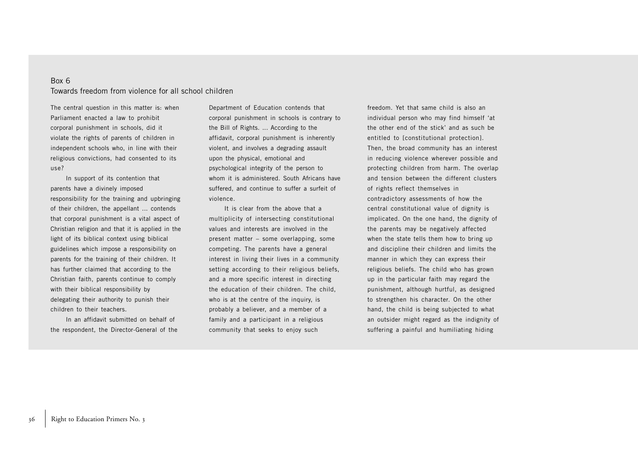### Box 6 Towards freedom from violence for all school children

The central question in this matter is: when Parliament enacted a law to prohibit corporal punishment in schools, did it violate the rights of parents of children in independent schools who, in line with their religious convictions, had consented to its use?

In support of its contention that parents have a divinely imposed responsibility for the training and upbringing of their children, the appellant ... contends that corporal punishment is a vital aspect of Christian religion and that it is applied in the light of its biblical context using biblical guidelines which impose a responsibility on parents for the training of their children. It has further claimed that according to the Christian faith, parents continue to comply with their biblical responsibility by delegating their authority to punish their children to their teachers.

In an affidavit submitted on behalf of the respondent, the Director-General of the Department of Education contends that corporal punishment in schools is contrary to the Bill of Rights. ... According to the affidavit, corporal punishment is inherently violent, and involves a degrading assault upon the physical, emotional and psychological integrity of the person to whom it is administered. South Africans have suffered, and continue to suffer a surfeit of violence.

It is clear from the above that a multiplicity of intersecting constitutional values and interests are involved in the present matter – some overlapping, some competing. The parents have a general interest in living their lives in a community setting according to their religious beliefs, and a more specific interest in directing the education of their children. The child, who is at the centre of the inquiry, is probably a believer, and a member of a family and a participant in a religious community that seeks to enjoy such

freedom. Yet that same child is also an individual person who may find himself 'at the other end of the stick' and as such be entitled to [constitutional protection]. Then, the broad community has an interest in reducing violence wherever possible and protecting children from harm. The overlap and tension between the different clusters of rights reflect themselves in contradictory assessments of how the central constitutional value of dignity is implicated. On the one hand, the dignity of the parents may be negatively affected when the state tells them how to bring up and discipline their children and limits the manner in which they can express their religious beliefs. The child who has grown up in the particular faith may regard the punishment, although hurtful, as designed to strengthen his character. On the other hand, the child is being subjected to what an outsider might regard as the indignity of suffering a painful and humiliating hiding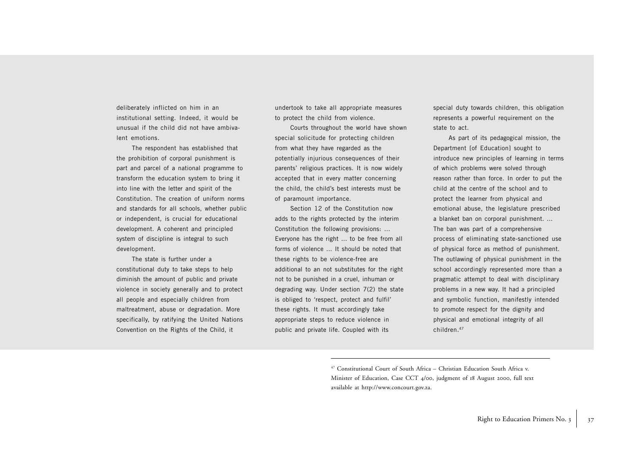deliberately inflicted on him in an institutional setting. Indeed, it would be unusual if the child did not have ambivalent emotions.

The respondent has established that the prohibition of corporal punishment is part and parcel of a national programme to transform the education system to bring it into line with the letter and spirit of the Constitution. The creation of uniform norms and standards for all schools, whether public or independent, is crucial for educational development. A coherent and principled system of discipline is integral to such development.

The state is further under a constitutional duty to take steps to help diminish the amount of public and private violence in society generally and to protect all people and especially children from maltreatment, abuse or degradation. More specifically, by ratifying the United Nations Convention on the Rights of the Child, it

undertook to take all appropriate measures to protect the child from violence.

Courts throughout the world have shown special solicitude for protecting children from what they have regarded as the potentially injurious consequences of their parents' religious practices. It is now widely accepted that in every matter concerning the child, the child's best interests must be of paramount importance.

Section 12 of the Constitution now adds to the rights protected by the interim Constitution the following provisions: ... Everyone has the right ... to be free from all forms of violence ... It should be noted that these rights to be violence-free are additional to an not substitutes for the right not to be punished in a cruel, inhuman or degrading way. Under section 7(2) the state is obliged to 'respect, protect and fulfil' these rights. It must accordingly take appropriate steps to reduce violence in public and private life. Coupled with its

special duty towards children, this obligation represents a powerful requirement on the state to act.

As part of its pedagogical mission, the Department [of Education] sought to introduce new principles of learning in terms of which problems were solved through reason rather than force. In order to put the child at the centre of the school and to protect the learner from physical and emotional abuse, the legislature prescribed a blanket ban on corporal punishment. ... The ban was part of a comprehensive process of eliminating state-sanctioned use of physical force as method of punishment. The outlawing of physical punishment in the school accordingly represented more than a pragmatic attempt to deal with disciplinary problems in a new way. It had a principled and symbolic function, manifestly intended to promote respect for the dignity and physical and emotional integrity of all children.47

<sup>47</sup> Constitutional Court of South Africa – Christian Education South Africa v. Minister of Education, Case CCT 4/00, judgment of 18 August <sup>2000</sup>, full text available at http://www.concourt.gov.za.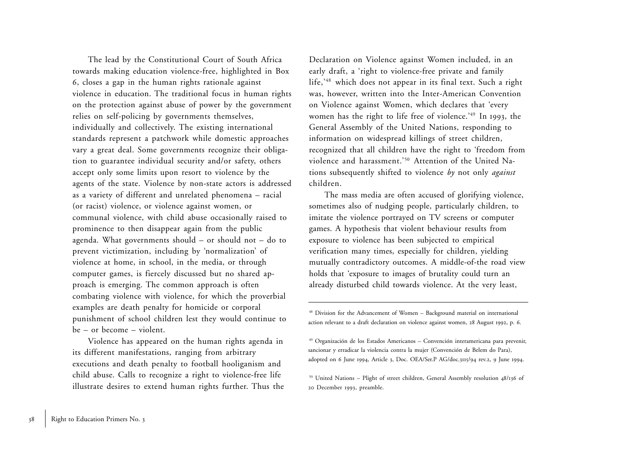The lead by the Constitutional Court of South Africa towards making education violence-free, highlighted in Box <sup>6</sup>, closes a gap in the human rights rationale against violence in education. The traditional focus in human rights on the protection against abuse of power by the government relies on self-policing by governments themselves, individually and collectively. The existing international standards represent a patchwork while domestic approaches vary a great deal. Some governments recognize their obligation to guarantee individual security and/or safety, others accept only some limits upon resort to violence by the agents of the state. Violence by non-state actors is addressed as a variety of different and unrelated phenomena – racial (or racist) violence, or violence against women, or communal violence, with child abuse occasionally raised to prominence to then disappear again from the public agenda. What governments should – or should not – do to prevent victimization, including by 'normalization' of violence at home, in school, in the media, or through computer games, is fiercely discussed but no shared approach is emerging. The common approach is often combating violence with violence, for which the proverbial examples are death penalty for homicide or corporal punishment of school children lest they would continue to be – or become – violent.

Violence has appeared on the human rights agenda in its different manifestations, ranging from arbitrary executions and death penalty to football hooliganism and child abuse. Calls to recognize a right to violence-free life illustrate desires to extend human rights further. Thus the Declaration on Violence against Women included, in an early draft, a 'right to violence-free private and family life,'48 which does not appear in its final text. Such a right was, however, written into the Inter-American Convention on Violence against Women, which declares that 'every women has the right to life free of violence.'49 In <sup>1993</sup>, the General Assembly of the United Nations, responding to information on widespread killings of street children, recognized that all children have the right to 'freedom from violence and harassment.'50 Attention of the United Nations subsequently shifted to violence *by* not only *against* children.

The mass media are often accused of glorifying violence, sometimes also of nudging people, particularly children, to imitate the violence portrayed on TV screens or computer games. A hypothesis that violent behaviour results from exposure to violence has been subjected to empirical verification many times, especially for children, yielding mutually contradictory outcomes. A middle-of-the road view holds that 'exposure to images of brutality could turn an already disturbed child towards violence. At the very least,

<sup>48</sup> Division for the Advancement of Women – Background material on international action relevant to a draft declaration on violence against women, 28 August <sup>1992</sup>, p. 6.

<sup>49</sup> Organización de los Estados Americanos – Convención interamericana para prevenir, sancionar y erradicar la violencia contra la mujer (Convención de Belem do Para), adopted on 6 June 1994, Article 3, Doc. OEA/Ser.P AG/doc.3115/94 rev.2, 9 June 1994.

<sup>50</sup> United Nations – Plight of street children, General Assembly resolution 48/136 of 20 December 1993, preamble.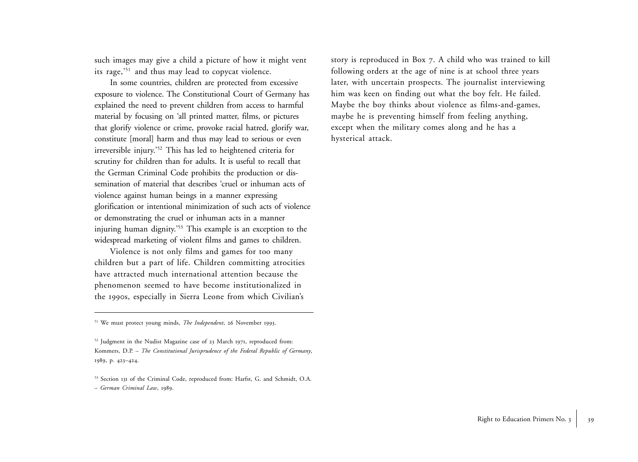such images may give a child a picture of how it might vent its rage,'51 and thus may lead to copycat violence.

In some countries, children are protected from excessive exposure to violence. The Constitutional Court of Germany has explained the need to prevent children from access to harmful material by focusing on 'all printed matter, films, or pictures that glorify violence or crime, provoke racial hatred, glorify war, constitute [moral] harm and thus may lead to serious or even irreversible injury.'52 This has led to heightened criteria for scrutiny for children than for adults. It is useful to recall that the German Criminal Code prohibits the production or dissemination of material that describes 'cruel or inhuman acts of violence against human beings in a manner expressing <sup>g</sup>lorification or intentional minimization of such acts of violence or demonstrating the cruel or inhuman acts in a manner injuring human dignity.<sup>'53</sup> This example is an exception to the widespread marketing of violent films and games to children.

Violence is not only films and games for too many children but a part of life. Children committing atrocities have attracted much international attention because the phenomenon seemed to have become institutionalized in the 1990s, especially in Sierra Leone from which Civilian's

51 We must protect young minds, *The Independent*, 26 November 1993.

52 Judgment in the Nudist Magazine case of 23 March 1971, reproduced from: Kommers, D.P. – *The Constitutional Jurisprudence of the Federal Republic of Germany*, 1989, p. 423–424.

53 Section 131 of the Criminal Code, reproduced from: Harfst, G. and Schmidt, O.A. – *German Criminal Law*, 1989.

story is reproduced in Box 7. A child who was trained to kill following orders at the age of nine is at school three years later, with uncertain prospects. The journalist interviewing him was keen on finding out what the boy felt. He failed. Maybe the boy thinks about violence as films-and-games, maybe he is preventing himself from feeling anything, except when the military comes along and he has a hysterical attack.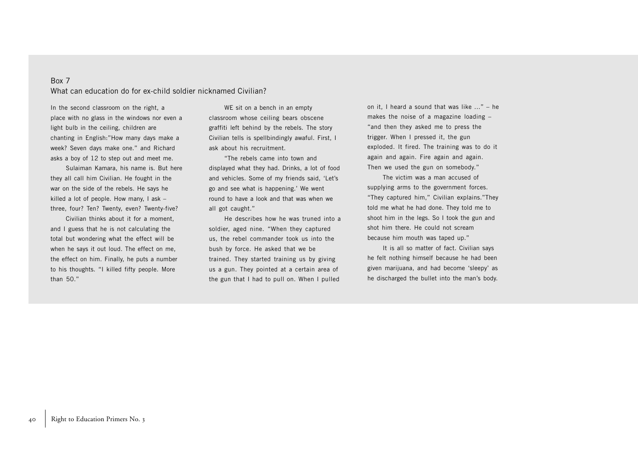### Box 7

What can education do for ex-child soldier nicknamed Civilian?

In the second classroom on the right, a place with no glass in the windows nor even a light bulb in the ceiling, children are chanting in English:"How many days make a week? Seven days make one." and Richard asks a boy of 12 to step out and meet me.

Sulaiman Kamara, his name is. But here they all call him Civilian. He fought in the war on the side of the rebels. He says he killed a lot of people. How many, I ask – three, four? Ten? Twenty, even? Twenty-five?

Civilian thinks about it for a moment, and I guess that he is not calculating the total but wondering what the effect will be when he says it out loud. The effect on me, the effect on him. Finally, he puts a number to his thoughts. "I killed fifty people. More than 50."

WE sit on a bench in an empty classroom whose ceiling bears obscene graffiti left behind by the rebels. The story Civilian tells is spellbindingly awaful. First, I ask about his recruitment.

"The rebels came into town and displayed what they had. Drinks, a lot of food and vehicles. Some of my friends said, 'Let's go and see what is happening.' We went round to have a look and that was when we all got caught."

He describes how he was truned into a soldier, aged nine. "When they captured us, the rebel commander took us into the bush by force. He asked that we be trained. They started training us by giving us a gun. They pointed at a certain area of the gun that I had to pull on. When I pulled

on it, I heard a sound that was like ..." – he makes the noise of a magazine loading – "and then they asked me to press the trigger. When I pressed it, the gun exploded. It fired. The training was to do it again and again. Fire again and again. Then we used the gun on somebody."

The victim was a man accused of supplying arms to the government forces. "They captured him," Civilian explains."They told me what he had done. They told me to shoot him in the legs. So I took the gun and shot him there. He could not scream because him mouth was taped up."

It is all so matter of fact. Civilian says he felt nothing himself because he had been given marijuana, and had become 'sleepy' as he discharged the bullet into the man's body.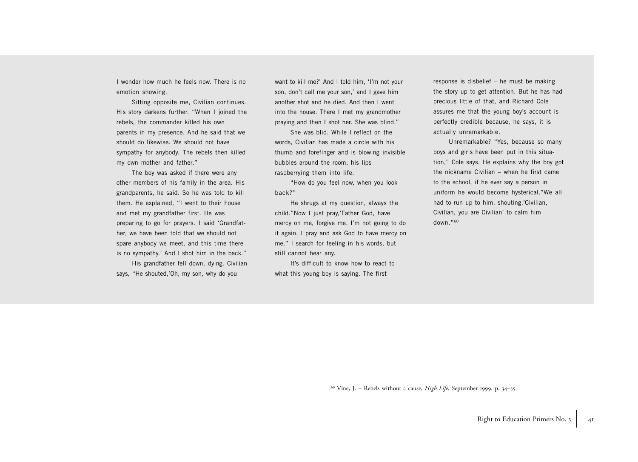I wonder how much he feels now. There is no emotion showing.

Sitting opposite me, Civilian continues. His story darkens further. "When I joined the rebels, the commander killed his own parents in my presence. And he said that we should do likewise. We should not have sympathy for anybody. The rebels then killed my own mother and father."

The boy was asked if there were any other members of his family in the area. His grandparents, he said. So he was told to kill them. He explained, "I went to their house and met my grandfather first. He was preparing to go for prayers. I said 'Grandfather, we have been told that we should not spare anybody we meet, and this time there is no sympathy.' And I shot him in the back."

His grandfather fell down, dying. Civilian says, "He shouted,'Oh, my son, why do you

want to kill me?' And I told him, 'I'm not your son, don't call me your son,' and I gave him another shot and he died. And then I went into the house. There I met my grandmother praying and then I shot her. She was blind."

She was blid. While I reflect on the words, Civilian has made a circle with his thumb and forefinger and is blowing invisible bubbles around the room, his lips raspberrying them into life.

"How do you feel now, when you look back?"

He shrugs at my question, always the child."Now I just pray,'Father God, have mercy on me, forgive me. I'm not going to do it again. I pray and ask God to have mercy on me." I search for feeling in his words, but still cannot hear any.

It's difficult to know how to react to what this young boy is saying. The first

response is disbelief – he must be making the story up to get attention. But he has had precious little of that, and Richard Cole assures me that the young boy's account is perfectly credible because, he says, it is actually unremarkable.

Unremarkable? "Yes, because so many boys and girls have been put in this situation," Cole says. He explains why the boy got the nickname Civilian – when he first came to the school, if he ever say a person in uniform he would become hysterical."We all had to run up to him, shouting,'Civilian, Civilian, you are Civilian' to calm him down."60

60 Vine, J. – Rebels without a cause, *High Life*, September <sup>1999</sup>, p. 34–35.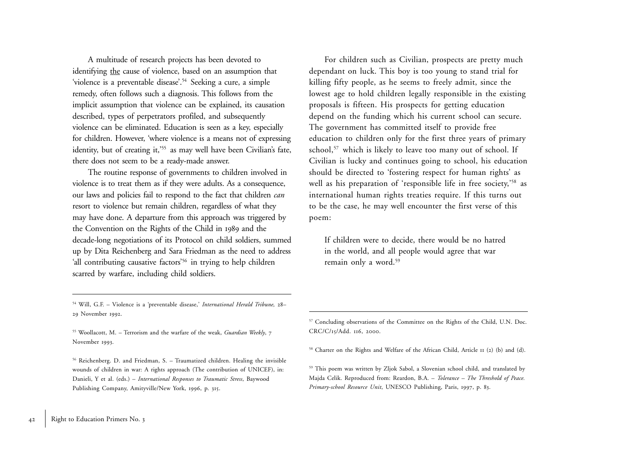A multitude of research projects has been devoted to identifying the cause of violence, based on an assumption that 'violence is a preventable disease'.<sup>54</sup> Seeking a cure, a simple remedy, often follows such a diagnosis. This follows from the implicit assumption that violence can be explained, its causation described, types of perpetrators profiled, and subsequently violence can be eliminated. Education is seen as a key, especially for children. However, 'where violence is a means not of expressing identity, but of creating it,<sup>'55</sup> as may well have been Civilian's fate, there does not seem to be a ready-made answer.

The routine response of governments to children involved in violence is to treat them as if they were adults. As a consequence, our laws and policies fail to respond to the fact that children *can* resort to violence but remain children, regardless of what they may have done. A departure from this approach was triggered by the Convention on the Rights of the Child in 1989 and the decade-long negotiations of its Protocol on child soldiers, summed up by Dita Reichenberg and Sara Friedman as the need to address 'all contributing causative factors'<sup>56</sup> in trying to help children scarred by warfare, including child soldiers.

For children such as Civilian, prospects are pretty much dependant on luck. This boy is too young to stand trial for killing fifty people, as he seems to freely admit, since the lowest age to hold children legally responsible in the existing proposals is fifteen. His prospects for getting education depend on the funding which his current school can secure. The government has committed itself to provide free education to children only for the first three years of primary school,<sup>57</sup> which is likely to leave too many out of school. If Civilian is lucky and continues going to school, his education should be directed to 'fostering respect for human rights' as well as his preparation of 'responsible life in free society,'<sup>58</sup> as international human rights treaties require. If this turns out to be the case, he may well encounter the first verse of this poem:

If children were to decide, there would be no hatred in the world, and all people would agree that war remain only a word.59

54 Will, G.F. – Violence is a 'preventable disease,' *International Herald Tribune,* <sup>28</sup>– <sup>29</sup> November 1992.

55 Woollacott, M. – Terrorism and the warfare of the weak, *Guardian Weekly*, <sup>7</sup> November 1993.

56 Reichenberg. D. and Friedman, S. – Traumatized children. Healing the invisible wounds of children in war: A rights approach (The contribution of UNICEF), in: Danieli, Y et al. (eds.) – *International Responses to Traumatic Stress*, Baywood Publishing Company, Amityville/New York, 1996, p. 315.

<sup>57</sup> Concluding observations of the Committee on the Rights of the Child, U.N. Doc. CRC/C/15/Add. 116, 2000.

58 Charter on the Rights and Welfare of the African Child, Article 11 (2) (b) and (d).

59 This poem was written by Zljok Sabol, a Slovenian school child, and translated by Majda Celik. Reproduced from: Reardon, B.A. – *Tolerance – The Threshold of Peace. Primary-school Resource Unit*, UNESCO Publishing, Paris, <sup>1997</sup>, p. 83.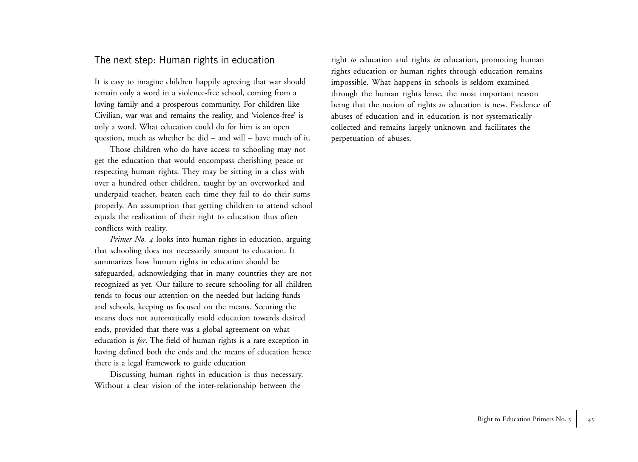### The next step: Human rights in education

It is easy to imagine children happily agreeing that war should remain only a word in a violence-free school, coming from a loving family and a prosperous community. For children like Civilian, war was and remains the reality, and 'violence-free' is only a word. What education could do for him is an open question, much as whether he did – and will – have much of it.

Those children who do have access to schooling may not get the education that would encompass cherishing peace or respecting human rights. They may be sitting in a class with over a hundred other children, taught by an overworked and underpaid teacher, beaten each time they fail to do their sums properly. An assumption that getting children to attend school equals the realization of their right to education thus often conflicts with reality.

*Primer No. 4* looks into human rights in education, arguing that schooling does not necessarily amount to education. It summarizes how human rights in education should be safeguarded, acknowledging that in many countries they are not recognized as yet. Our failure to secure schooling for all children tends to focus our attention on the needed but lacking funds and schools, keeping us focused on the means. Securing the means does not automatically mold education towards desired ends, provided that there was a global agreement on what education is *for*. The field of human rights is a rare exception in having defined both the ends and the means of education hence there is a legal framework to guide education

Discussing human rights in education is thus necessary. Without a clear vision of the inter-relationship between the

right *to* education and rights *in* education, promoting human rights education or human rights through education remains impossible. What happens in schools is seldom examined through the human rights lense, the most important reason being that the notion of rights *in* education is new. Evidence of abuses of education and in education is not systematically collected and remains largely unknown and facilitates the perpetuation of abuses.